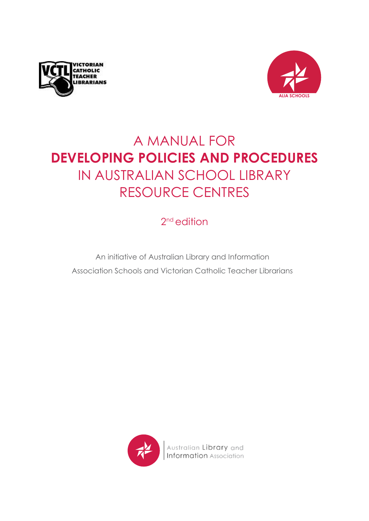



# A MANUAL FOR **DEVELOPING POLICIES AND PROCEDURES**  IN AUSTRALIAN SCHOOL LIBRARY RESOURCE CENTRES

2<sup>nd</sup> edition

An initiative of Australian Library and Information Association Schools and Victorian Catholic Teacher Librarians

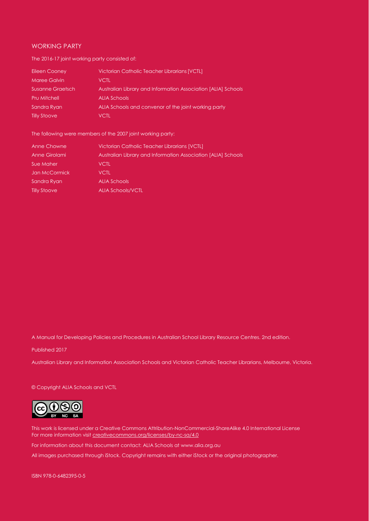#### WORKING PARTY

The 2016-17 joint working party consisted of:

| Eileen Cooney       | Victorian Catholic Teacher Librarians [VCTL]                  |
|---------------------|---------------------------------------------------------------|
| Maree Galvin        | VCTL                                                          |
| Susanne Graetsch    | Australian Library and Information Association [ALIA] Schools |
| <b>Pru Mitchell</b> | <b>ALIA Schools</b>                                           |
| Sandra Ryan         | ALIA Schools and convenor of the joint working party          |
| <b>Tilly Stoove</b> | VCTL                                                          |

The following were members of the 2007 joint working party:

| Anne Chowne         | Victorian Catholic Teacher Librarians [VCTL]                  |
|---------------------|---------------------------------------------------------------|
| Anne Girolami       | Australian Library and Information Association [ALIA] Schools |
| Sue Maher           | <b>VCTL</b>                                                   |
| Jan McCormick       | <b>VCTL</b>                                                   |
| Sandra Ryan         | <b>ALIA Schools</b>                                           |
| <b>Tilly Stoove</b> | <b>ALIA Schools/VCTL</b>                                      |

A Manual for Developing Policies and Procedures in Australian School Library Resource Centres. 2nd edition.

Published 2017

Australian Library and Information Association Schools and Victorian Catholic Teacher Librarians, Melbourne, Victoria.

#### © Copyright ALIA Schools and VCTL



This work is licensed under a Creative Commons Attribution-NonCommercial-ShareAlike 4.0 International License For more information visi[t creativecommons.org/licenses/by-nc-sa/4.0](https://creativecommons.org/licenses/by-nc-sa/4.0/)

For information about this document contact: ALIA Schools at [www.alia.org.au](http://www.alia.org.au/)

All images purchased through iStock. Copyright remains with either iStock or the original photographer.

ISBN 978-0-6482395-0-5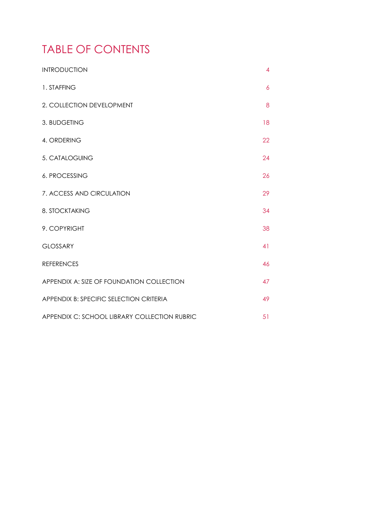# TABLE OF CONTENTS

| <b>INTRODUCTION</b>                          | 4  |  |
|----------------------------------------------|----|--|
| 1. STAFFING                                  | 6  |  |
| 2. COLLECTION DEVELOPMENT                    | 8  |  |
| 3. BUDGETING                                 | 18 |  |
| 4. ORDERING                                  | 22 |  |
| 5. CATALOGUING                               | 24 |  |
| 6. PROCESSING                                | 26 |  |
| 7. ACCESS AND CIRCULATION                    | 29 |  |
| 8. STOCKTAKING                               | 34 |  |
| 9. COPYRIGHT                                 | 38 |  |
| <b>GLOSSARY</b>                              | 41 |  |
| <b>REFERENCES</b>                            | 46 |  |
| APPENDIX A: SIZE OF FOUNDATION COLLECTION    | 47 |  |
| APPENDIX B: SPECIFIC SELECTION CRITERIA      | 49 |  |
| APPENDIX C: SCHOOL LIBRARY COLLECTION RUBRIC | 51 |  |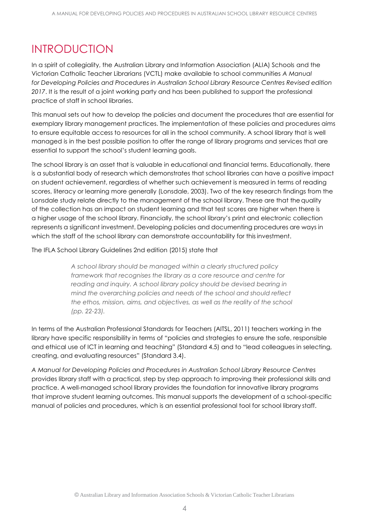# <span id="page-3-0"></span>INTRODUCTION

In a spirit of collegiality, the Australian Library and Information Association (ALIA) Schools and the Victorian Catholic Teacher Librarians (VCTL) make available to school communities *A Manual for Developing Policies and Procedures in Australian School Library Resource Centres Revised edition 2017*. It is the result of a joint working party and has been published to support the professional practice of staff in school libraries.

This manual sets out how to develop the policies and document the procedures that are essential for exemplary library management practices. The implementation of these policies and procedures aims to ensure equitable access to resources for all in the school community. A school library that is well managed is in the best possible position to offer the range of library programs and services that are essential to support the school's student learning goals.

The school library is an asset that is valuable in educational and financial terms. Educationally, there is a substantial body of research which demonstrates that school libraries can have a positive impact on student achievement, regardless of whether such achievement is measured in terms of reading scores, literacy or learning more generally (Lonsdale, 2003). Two of the key research findings from the Lonsdale study relate directly to the management of the school library. These are that thequality of the collection has an impact on student learning and that test scores are higher when there is a higher usage of the school library. Financially, the school library's print and electronic collection represents a significant investment. Developing policies and documenting procedures are ways in which the staff of the school library can demonstrate accountability for this investment.

The IFLA School Library Guidelines 2nd edition (2015) state that

*A school library should be managed within a clearly structured policy framework that recognises the library as a core resource and centre for reading and inquiry. A school library policy should be devised bearing in mind the overarching policies and needs of the school and should reflect the ethos, mission, aims, and objectives, as well as the reality of the school (pp. 22-23).*

In terms of the Australian Professional Standards for Teachers (AITSL, 2011) teachers working in the library have specific responsibility in terms of "policies and strategies to ensure the safe, responsible and ethical use of ICT in learning and teaching" (Standard 4.5) and to "lead colleagues in selecting, creating, and evaluating resources" (Standard 3.4).

*A Manual for Developing Policies and Procedures in Australian School Library Resource Centres*  provides library staff with a practical, step by step approach to improving their professional skills and practice. A well-managed school library provides the foundation for innovative library programs that improve student learning outcomes. This manual supports the development of a school-specific manual of policies and procedures, which is an essential professional tool for school library staff.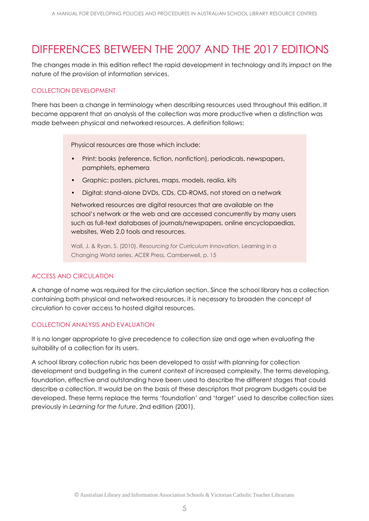# DIFFERENCES BETWEEN THE 2007 AND THE 2017 EDITIONS

The changes made in this edition reflect the rapid development in technology and its impact on the nature of the provision of information services.

# COLLECTION DEVELOPMENT

There has been a change in terminology when describing resources used throughout this edition. It became apparent that an analysis of the collection was more productive when a distinction was made between physical and networked resources. A definition follows:

Physical resources are those which include:

- Print: books (reference, fiction, nonfiction), periodicals, newspapers, pamphlets, ephemera
- Graphic: posters, pictures, maps, models, realia, kits
- Digital: stand-alone DVDs, CDs, CD-ROMS, not stored on a network

Networked resources are digital resources that are available on the school's network or the web and are accessed concurrently by many users such as full-text databases of journals/newspapers, online encyclopaedias, websites, Web 2.0 tools and resources.

Wall, J. & Ryan, S. (2010). *Resourcing for Curriculum Innovation*, Learning in a Changing World series. ACER Press, Camberwell, p. 15

#### ACCESS AND CIRCULATION

A change of name was required for the circulation section. Since the school library has a collection containing both physical and networked resources, it is necessary to broaden the concept of circulation to cover access to hosted digital resources.

# COLLECTION ANALYSIS AND EVALUATION

It is no longer appropriate to give precedence to collection size and age when evaluating the suitability of a collection for its users.

A school library collection rubric has been developed to assist with planning for collection development and budgeting in the current context of increased complexity. The terms developing, foundation, effective and outstanding have been used to describe the different stages that could describe a collection. It would be on the basis of these descriptors that program budgets could be developed. These terms replace the terms 'foundation' and 'target' used to describe collection sizes previously in *Learning for the future*, 2nd edition (2001).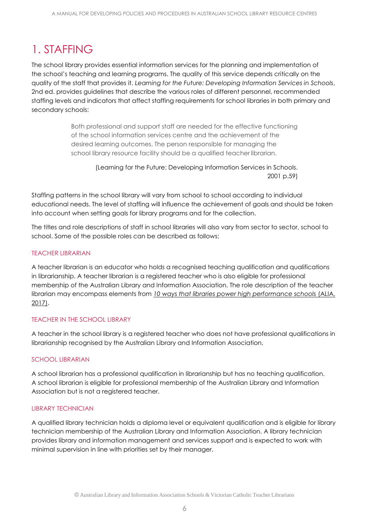# <span id="page-5-0"></span>1. STAFFING

The school library provides essential information services for the planning and implementation of the school's teaching and learning programs. The quality of this service depends critically on the quality of the staff that provides it. *Learning for the Future: Developing Information Services in Schools*, 2nd ed. provides guidelines that describe the various roles of different personnel, recommended staffing levels and indicators that affect staffing requirements for school libraries in both primary and secondary schools:

> Both professional and support staff are needed for the effective functioning of the school information services centre and the achievement of the desired learning outcomes. The person responsible for managing the school library resource facility should be a qualified teacher librarian.

(Learning for the Future: Developing Information Services in Schools. 2001 p.59)

Staffing patterns in the school library will vary from school to school according to individual educational needs. The level of staffing will influence the achievement of goals and should be taken into account when setting goals for library programs and for the collection.

The titles and role descriptions of staff in school libraries will also vary from sector to sector, school to school. Some of the possible roles can be described as follows:

# TEACHER LIBRARIAN

A teacher librarian is an educator who holds a recognised teaching qualification and qualifications in librarianship. A teacher librarian is a registered teacher who is also eligible for professional membership of the Australian Library and Information Association. The role description of the teacher librarian may encompass elements from [10 ways that libraries power high performance schools](https://www.alia.org.au/node/184/school-libraries) (ALIA, [2017\).](https://www.alia.org.au/node/184/school-libraries)

# TEACHER IN THE SCHOOL LIBRARY

A teacher in the school library is a registered teacher who does not have professional qualifications in librarianship recognised by the Australian Library and Information Association.

# SCHOOL LIBRARIAN

A school librarian has a professional qualification in librarianship but has no teaching qualification. A school librarian is eligible for professional membership of the Australian Library and Information Association but is not a registered teacher.

# LIBRARY TECHNICIAN

A qualified library technician holds a diploma level or equivalent qualification and is eligible for library technician membership of the Australian Library and Information Association. A library technician provides library and information management and services support and is expected to work with minimal supervision in line with priorities set by their manager.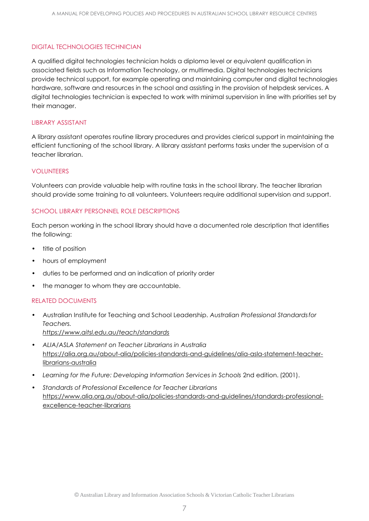# DIGITAL TECHNOLOGIES TECHNICIAN

A qualified digital technologies technician holds a diploma level or equivalent qualification in associated fields such as Information Technology, or multimedia. Digital technologies technicians provide technical support, for example operating and maintaining computer and digital technologies hardware, software and resources in the school and assisting in the provision of helpdesk services. A digital technologies technician is expected to work with minimal supervision in line with priorities set by their manager.

#### LIBRARY ASSISTANT

A library assistant operates routine library procedures and provides clerical support in maintaining the efficient functioning of the school library. A library assistant performs tasks under the supervision of a teacher librarian.

#### VOLUNTEERS

Volunteers can provide valuable help with routine tasks in the school library. The teacher librarian should provide some training to all volunteers. Volunteers require additional supervision and support.

# SCHOOL LIBRARY PERSONNEL ROLE DESCRIPTIONS

Each person working in the school library should have a documented role description that identifies the following:

- title of position
- hours of employment
- duties to be performed and an indication of priority order
- the manager to whom they are accountable.

# RELATED DOCUMENTS

- Australian Institute for Teaching and School Leadership. *Australian Professional Standardsfor Teachers. <https://www.aitsl.edu.au/teach/standards>*
- *• ALIA/ASLA Statement on Teacher Librarians in Australia* [https://alia.org.au/about-alia/policies-standards-and-guidelines/alia-asla-statement-teacher](https://alia.org.au/about-alia/policies-standards-and-guidelines/alia-asla-statement-teacher-librari)[librarians-australia](https://alia.org.au/about-alia/policies-standards-and-guidelines/alia-asla-statement-teacher-librari)
- *• Learning for the Future: Developing Information Services in Schools* 2nd edition. (2001).
- *• Standards of Professional Excellence for Teacher Librarians* [https://www.alia.org.au/about-alia/policies-standards-and-guidelines/standards-professional](https://www.alia.org.au/about-alia/policies-standards-and-guidelines/standards-professional-excellen)[excellence-teacher-librarians](https://www.alia.org.au/about-alia/policies-standards-and-guidelines/standards-professional-excellen)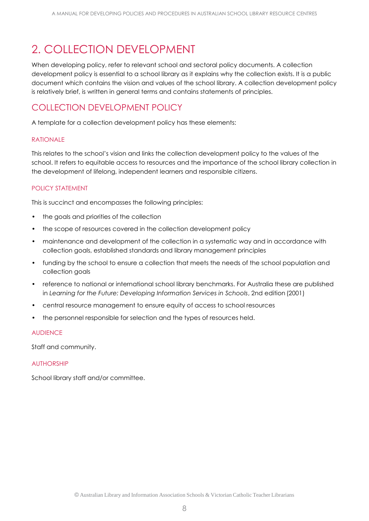# <span id="page-7-0"></span>2. COLLECTION DEVELOPMENT

When developing policy, refer to relevant school and sectoral policy documents. A collection development policy is essential to a school library as it explains why the collection exists. It is a public document which contains the vision and values of the school library. A collection development policy is relatively brief, is written in general terms and contains statements of principles.

# COLLECTION DEVELOPMENT POLICY

A template for a collection development policy has these elements:

# RATIONALE

This relates to the school's vision and links the collection development policy to the values of the school. It refers to equitable access to resources and the importance of the school library collection in the development of lifelong, independent learners and responsible citizens.

# POLICY STATEMENT

This is succinct and encompasses the following principles:

- the goals and priorities of the collection
- the scope of resources covered in the collection development policy
- maintenance and development of the collection in a systematic way and in accordance with collection goals, established standards and library management principles
- funding by the school to ensure a collection that meets the needs of the school population and collection goals
- reference to national or international school library benchmarks. For Australia these are published in *Learning for the Future: Developing Information Services in Schools*, 2nd edition (2001)
- central resource management to ensure equity of access to school resources
- the personnel responsible for selection and the types of resources held.

# AUDIENCE

Staff and community.

#### AUTHORSHIP

School library staff and/or committee.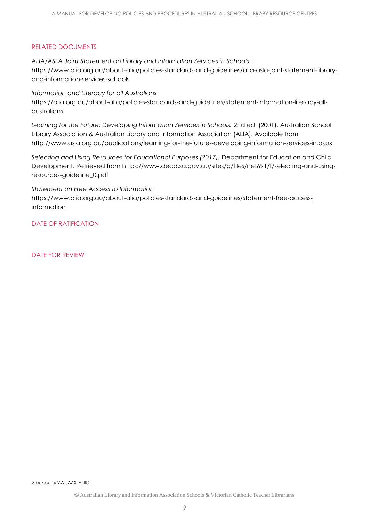# RELATED DOCUMENTS

*ALIA/ASLA Joint Statement on Library and Information Services in Schools*  [https://www.alia.org.au/about-alia/policies-standards-and-guidelines/alia-asla-joint-statement-library](https://www.alia.org.au/about-alia/policies-standards-and-guidelines/alia-asla-joint-statement-library-and-information-services-schools)[and-information-services-schools](https://www.alia.org.au/about-alia/policies-standards-and-guidelines/alia-asla-joint-statement-library-and-information-services-schools)

*Information and Literacy for all Australians* [https://alia.org.au/about-alia/policies-standards-and-guidelines/statement-information-literacy-all](https://alia.org.au/about-alia/policies-standards-and-guidelines/statement-information-literacy-all-)[australians](https://alia.org.au/about-alia/policies-standards-and-guidelines/statement-information-literacy-all-)

Learning for the Future: Developing Information Services in Schools, 2nd ed. (2001). Australian School Library Association & Australian Library and Information Association (ALIA). Available from <http://www.asla.org.au/publications/learning-for-the-future--developing-information-services-in.aspx>

*Selecting and Using Resources for Educational Purposes (2017).* Department for Education and Child Development. Retrieved from [https://www.decd.sa.gov.au/sites/g/files/net691/f/selecting-and-using](https://www.decd.sa.gov.au/sites/g/files/net691/f/selecting-and-using-resources-guideline_0.pdf)[resources-guideline\\_0.pdf](https://www.decd.sa.gov.au/sites/g/files/net691/f/selecting-and-using-resources-guideline_0.pdf)

*Statement on Free Access to Information*

[https://www.alia.org.au/about-alia/policies-standards-and-guidelines/statement-free-access](https://www.alia.org.au/about-alia/policies-standards-and-guidelines/statement-free-access-informati)[information](https://www.alia.org.au/about-alia/policies-standards-and-guidelines/statement-free-access-informati)

DATE OF RATIFICATION

DATE FOR REVIEW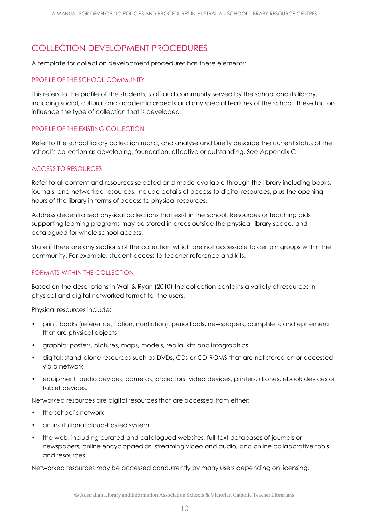# COLLECTION DEVELOPMENT PROCEDURES

A template for collection development procedures has these elements:

# PROFILE OF THE SCHOOL COMMUNITY

This refers to the profile of the students, staff and community served by the school and its library, including social, cultural and academic aspects and any special features of the school. These factors influence the type of collection that is developed.

# PROFILE OF THE EXISTING COLLECTION

Refer to the school library collection rubric, and analyse and briefly describe the current status of the school's collection as developing, foundation, effective or outstanding. See [Appendix C.](#page-49-0)

# ACCESS TO RESOURCES

Refer to all content and resources selected and made available through the library including books, journals, and networked resources. Include details of access to digital resources, plus the opening hours of the library in terms of access to physical resources.

Address decentralised physical collections that exist in the school. Resources or teaching aids supporting learning programs may be stored in areas outside the physical library space, and catalogued for whole school access.

State if there are any sections of the collection which are not accessible to certain groups within the community. For example, student access to teacher reference and kits.

# FORMATS WITHIN THE COLLECTION

Based on the descriptions in Wall & Ryan (2010) the collection contains a variety of resources in physical and digital networked format for the users.

Physical resources include:

- print: books (reference, fiction, nonfiction), periodicals, newspapers, pamphlets, and ephemera that are physical objects
- graphic: posters, pictures, maps, models, realia, kits and infographics
- digital: stand-alone resources such as DVDs, CDs or CD-ROMS that are not stored on or accessed via a network
- equipment: audio devices, cameras, projectors, video devices, printers, drones, ebook devices or tablet devices.

Networked resources are digital resources that are accessed from either:

- the school's network
- an institutional cloud-hosted system
- the web, including curated and catalogued websites, full-text databases of journals or newspapers, online encyclopaedias, streaming video and audio, and online collaborative tools and resources.

Networked resources may be accessed concurrently by many users depending on licensing.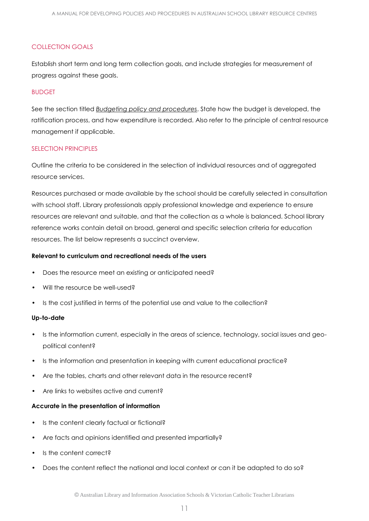# COLLECTION GOALS

Establish short term and long term collection goals, and include strategies for measurement of progress against these goals.

#### BUDGET

See the section titled *[Budgeting policy and procedures](#page-17-0)*. State how the budget is developed, the ratification process, and how expenditure is recorded. Also refer to the principle of central resource management if applicable.

#### SELECTION PRINCIPLES

Outline the criteria to be considered in the selection of individual resources and of aggregated resource services.

Resources purchased or made available by the school should be carefully selected in consultation with school staff. Library professionals apply professional knowledge and experience to ensure resources are relevant and suitable, and that the collection as a whole is balanced. School library reference works contain detail on broad, general and specific selection criteria for education resources. The list below represents a succinct overview.

#### **Relevant to curriculum and recreational needs of the users**

- Does the resource meet an existing or anticipated need?
- Will the resource be well-used?
- Is the cost justified in terms of the potential use and value to the collection?

#### **Up-to-date**

- Is the information current, especially in the areas of science, technology, social issues and geopolitical content?
- Is the information and presentation in keeping with current educational practice?
- Are the tables, charts and other relevant data in the resource recent?
- Are links to websites active and current?

#### **Accurate in the presentation of information**

- Is the content clearly factual or fictional?
- Are facts and opinions identified and presented impartially?
- Is the content correct?
- Does the content reflect the national and local context or can it be adapted to do so?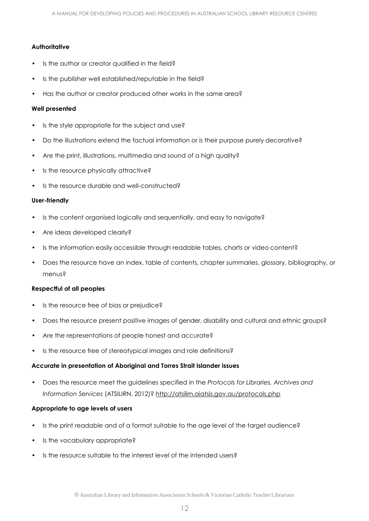# **Authoritative**

- Is the author or creator qualified in the field?
- Is the publisher well established/reputable in the field?
- Has the author or creator produced other works in the same area?

#### **Well presented**

- Is the style appropriate for the subject and use?
- Do the illustrations extend the factual information or is their purpose purely decorative?
- Are the print, illustrations, multimedia and sound of a high quality?
- Is the resource physically attractive?
- Is the resource durable and well-constructed?

#### **User-friendly**

- Is the content organised logically and sequentially, and easy to navigate?
- Are ideas developed clearly?
- Is the information easily accessible through readable tables, charts or video content?
- Does the resource have an index, table of contents, chapter summaries, glossary, bibliography, or menus?

#### **Respectful of all peoples**

- Is the resource free of bias or prejudice?
- Does the resource present positive images of gender, disability and cultural and ethnic groups?
- Are the representations of people honest and accurate?
- Is the resource free of stereotypical images and role definitions?

# **Accurate in presentation of Aboriginal and Torres Strait Islander issues**

• Does the resource meet the guidelines specified in the *Protocols for Libraries, Archives and Information Services* (ATSILIRN, 2012)? <http://atsilirn.aiatsis.gov.au/protocols.php>

# **Appropriate to age levels of users**

- Is the print readable and of a format suitable to the age level of the target audience?
- Is the vocabulary appropriate?
- Is the resource suitable to the interest level of the intended users?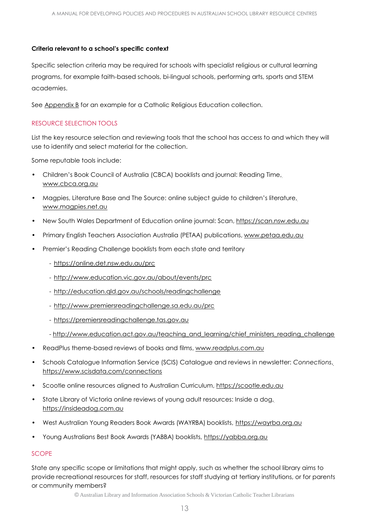#### **Criteria relevant to a school's specific context**

Specific selection criteria may be required for schools with specialist religious or cultural learning programs, for example faith-based schools, bi-lingual schools, performing arts, sports and STEM academies.

See Appendix B for an example for a Catholic Religious Education collection.

# RESOURCE SELECTION TOOLS

List the key resource selection and reviewing tools that the school has access to and which they will use to identify and select material for the collection.

Some reputable tools include:

- Children's Book Council of Australia (CBCA) booklists and journal: Reading Time, [www.cbca.org.au](http://www.cbca.org.au/)
- Magpies, Literature Base and The Source: online subject guide to children's literature, [www.magpies.net.au](http://www.magpies.net.au/)
- New South Wales Department of Education online journal: Scan, [https://scan.nsw.edu.au](https://scan.nsw.edu.au/)
- Primary English Teachers Association Australia (PETAA) publications, [www.petaa.edu.au](http://www.petaa.edu.au/imis_Prod/w)
- Premier's Reading Challenge booklists from each state and territory
	- <https://online.det.nsw.edu.au/prc>
	- <http://www.education.vic.gov.au/about/events/prc>
	- <http://education.qld.gov.au/schools/readingchallenge>
	- <http://www.premiersreadingchallenge.sa.edu.au/prc>
	- [https://premiersreadingchallenge.tas.gov.au](https://premiersreadingchallenge.tas.gov.au/)
	- [http://www.education.act.gov.au/teaching\\_and\\_learning/chief\\_ministers\\_reading\\_challenge](http://www.education.act.gov.au/teaching_and_learning/chief_ministers_reading_challenge)
- ReadPlus theme-based reviews of books and films, [www.readplus.com.au](http://www.readplus.com.au/)
- Schools Catalogue Information Service (SCIS) Catalogue and reviews in newsletter: *Connections*, <https://www.scisdata.com/connections>
- Scootle online resources aligned to Australian Curriculum, [https://scootle.edu.au](https://scootle.edu.au/)
- State Library of Victoria online reviews of young adult resources: Inside a dog, [https://insideadog.com.au](https://insideadog.com.au/)
- West Australian Young Readers Book Awards (WAYRBA) booklists, [https://wayrba.org.au](https://wayrba.org.au/)
- Young Australians Best Book Awards (YABBA) booklists, [https://yabba.org.au](https://yabba.org.au/)

#### **SCOPE**

State any specific scope or limitations that might apply, such as whether the school library aims to provide recreational resources for staff, resources for staff studying at tertiary institutions, or for parents or community members?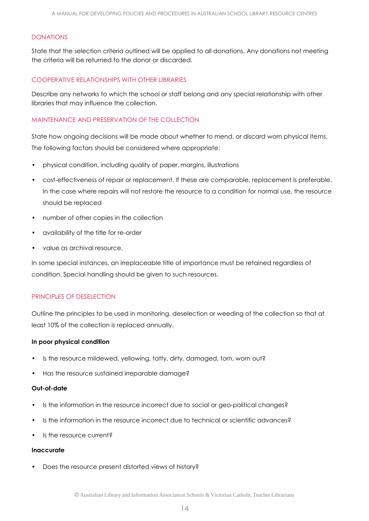#### DONATIONS

State that the selection criteria outlined will be applied to all donations. Any donations not meeting the criteria will be returned to the donor or discarded.

#### COOPERATIVE RELATIONSHIPS WITH OTHER LIBRARIES

Describe any networks to which the school or staff belong and any special relationship with other libraries that may influence the collection.

#### MAINTENANCE AND PRESERVATION OF THE COLLECTION

State how ongoing decisions will be made about whether to mend, or discard worn physical items. The following factors should be considered where appropriate:

- physical condition, including quality of paper, margins, illustrations
- cost-effectiveness of repair or replacement. If these are comparable, replacement is preferable. In the case where repairs will not restore the resource to a condition for normal use, the resource should be replaced
- number of other copies in the collection
- availability of the title for re-order
- value as archival resource.

In some special instances, an irreplaceable title of importance must be retained regardless of condition. Special handling should be given to such resources.

# PRINCIPLES OF DESELECTION

Outline the principles to be used in monitoring, deselection or weeding of the collection so that at least 10% of the collection is replaced annually.

#### **In poor physical condition**

- Is the resource mildewed, yellowing, tatty, dirty, damaged, torn, worn out?
- Has the resource sustained irreparable damage?

#### **Out-of-date**

- Is the information in the resource incorrect due to social or geo-political changes?
- Is the information in the resource incorrect due to technical or scientific advances?
- Is the resource current?

#### **Inaccurate**

Does the resource present distorted views of history?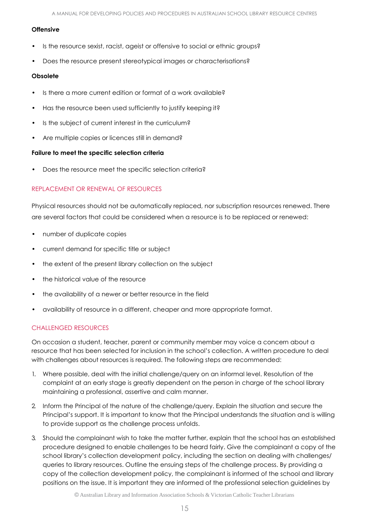#### **Offensive**

- Is the resource sexist, racist, ageist or offensive to social or ethnic groups?
- Does the resource present stereotypical images or characterisations?

#### **Obsolete**

- Is there a more current edition or format of a work available?
- Has the resource been used sufficiently to justify keeping it?
- Is the subject of current interest in the curriculum?
- Are multiple copies or licences still in demand?

# **Failure to meet the specific selection criteria**

• Does the resource meet the specific selection criteria?

# REPLACEMENT OR RENEWAL OF RESOURCES

Physical resources should not be automatically replaced, nor subscription resources renewed. There are several factors that could be considered when a resource is to be replaced or renewed:

- number of duplicate copies
- current demand for specific title or subject
- the extent of the present library collection on the subject
- the historical value of the resource
- the availability of a newer or better resource in the field
- availability of resource in a different, cheaper and more appropriate format.

# CHALLENGED RESOURCES

On occasion a student, teacher, parent or community member may voice a concern about a resource that has been selected for inclusion in the school's collection. A written procedure to deal with challenges about resources is required. The following steps are recommended:

- 1. Where possible, deal with the initial challenge/query on an informal level. Resolution of the complaint at an early stage is greatly dependent on the person in charge of the school library maintaining a professional, assertive and calm manner.
- 2. Inform the Principal of the nature of the challenge/query. Explain the situation and secure the Principal's support. It is important to know that the Principal understands the situation and is willing to provide support as the challenge process unfolds.
- 3. Should the complainant wish to take the matter further, explain that the school has an established procedure designed to enable challenges to be heard fairly. Give the complainant a copy of the school library's collection development policy, including the section on dealing with challenges/ queries to library resources. Outline the ensuing steps of the challenge process. By providing a copy of the collection development policy, the complainant is informed of the school and library positions on the issue. It is important they are informed of the professional selection guidelines by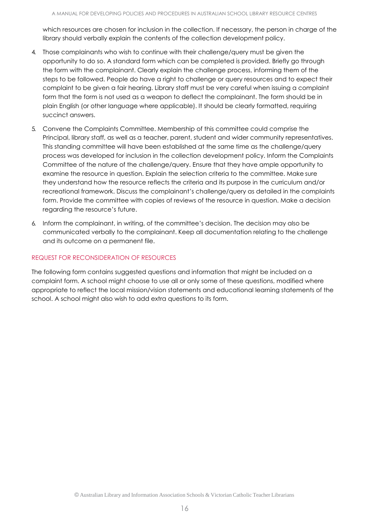which resources are chosen for inclusion in the collection. If necessary, the person in charge of the library should verbally explain the contents of the collection development policy.

- 4. Those complainants who wish to continue with their challenge/query must be given the opportunity to do so. A standard form which can be completed is provided. Briefly go through the form with the complainant. Clearly explain the challenge process, informing them of the steps to be followed. People do have a right to challenge or query resources and to expect their complaint to be given a fair hearing. Library staff must be very careful when issuing a complaint form that the form is not used as a weapon to deflect the complainant. The form should be in plain English (or other language where applicable). It should be clearly formatted, requiring succinct answers.
- 5. Convene the Complaints Committee. Membership of this committee could comprise the Principal, library staff, as well as a teacher, parent, student and wider community representatives. This standing committee will have been established at the same time as the challenge/query process was developed for inclusion in the collection development policy. Inform the Complaints Committee of the nature of the challenge/query. Ensure that they have ample opportunity to examine the resource in question. Explain the selection criteria to the committee. Make sure they understand how the resource reflects the criteria and its purpose in the curriculum and/or recreational framework. Discuss the complainant's challenge/query as detailed in the complaints form. Provide the committee with copies of reviews of the resource in question. Make a decision regarding the resource's future.
- 6. Inform the complainant, in writing, of the committee's decision. The decision may also be communicated verbally to the complainant. Keep all documentation relating to the challenge and its outcome on a permanent file.

#### REQUEST FOR RECONSIDERATION OF RESOURCES

The following form contains suggested questions and information that might be included on a complaint form. A school might choose to use all or only some of these questions, modified where appropriate to reflect the local mission/vision statements and educational learning statements of the school. A school might also wish to add extra questions to its form.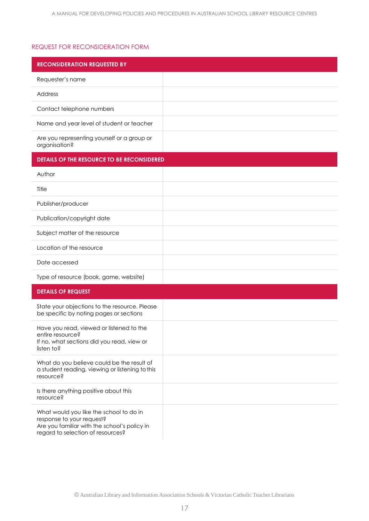# REQUEST FOR RECONSIDERATION FORM

| <b>RECONSIDERATION REQUESTED BY</b>                                                                                                                       |  |
|-----------------------------------------------------------------------------------------------------------------------------------------------------------|--|
| Requester's name                                                                                                                                          |  |
| Address                                                                                                                                                   |  |
| Contact telephone numbers                                                                                                                                 |  |
| Name and year level of student or teacher                                                                                                                 |  |
| Are you representing yourself or a group or<br>organisation?                                                                                              |  |
| DETAILS OF THE RESOURCE TO BE RECONSIDERED                                                                                                                |  |
| Author                                                                                                                                                    |  |
| Title                                                                                                                                                     |  |
| Publisher/producer                                                                                                                                        |  |
| Publication/copyright date                                                                                                                                |  |
| Subject matter of the resource                                                                                                                            |  |
| Location of the resource                                                                                                                                  |  |
| Date accessed                                                                                                                                             |  |
| Type of resource (book, game, website)                                                                                                                    |  |
| <b>DETAILS OF REQUEST</b>                                                                                                                                 |  |
| State your objections to the resource. Please<br>be specific by noting pages or sections                                                                  |  |
| Have you read, viewed or listened to the<br>entire resource?<br>If no, what sections did you read, view or<br>listen to?                                  |  |
| What do you believe could be the result of<br>a student reading, viewing or listening to this<br>resource?                                                |  |
| Is there anything positive about this<br>resource?                                                                                                        |  |
| What would you like the school to do in<br>response to your request?<br>Are you familiar with the school's policy in<br>regard to selection of resources? |  |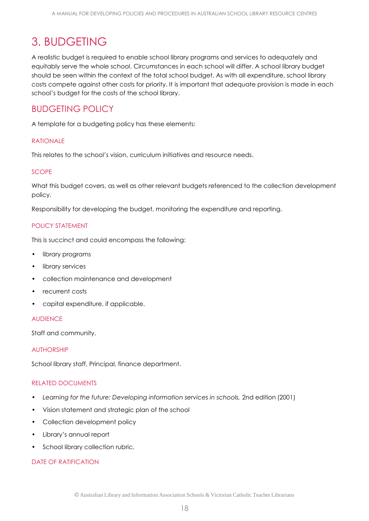# <span id="page-17-0"></span>3. BUDGETING

A realistic budget is required to enable school library programs and services to adequately and equitably serve the whole school. Circumstances in each school will differ. A school library budget should be seen within the context of the total school budget. As with all expenditure, school library costs compete against other costs for priority. It is important that adequate provision is made in each school's budget for the costs of the school library.

# BUDGETING POLICY

A template for a budgeting policy has these elements:

#### **RATIONALE**

This relates to the school's vision, curriculum initiatives and resource needs.

#### **SCOPE**

What this budget covers, as well as other relevant budgets referenced to the collection development policy.

Responsibility for developing the budget, monitoring the expenditure and reporting.

# POLICY STATEMENT

This is succinct and could encompass the following:

- library programs
- library services
- collection maintenance and development
- recurrent costs
- capital expenditure, if applicable.

#### AUDIENCE

Staff and community.

#### AUTHORSHIP

School library staff, Principal, finance department.

# RELATED DOCUMENTS

- Learning for the future: Developing information services in schools, 2nd edition (2001)
- Vision statement and strategic plan of the school
- Collection development policy
- Library's annual report
- School library collection rubric.

# DATE OF RATIFICATION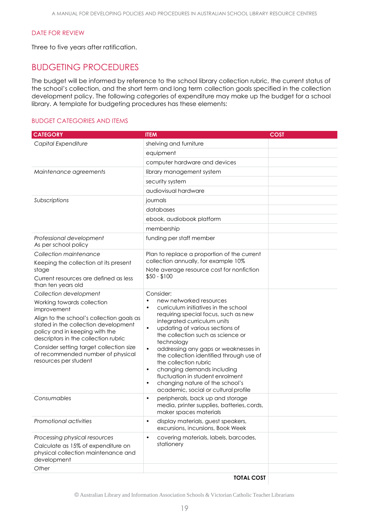#### DATE FOR REVIEW

Three to five years after ratification.

# BUDGETING PROCEDURES

The budget will be informed by reference to the school library collection rubric, the current status of the school's collection, and the short term and long term collection goals specified in the collection development policy. The following categories of expenditure may make up the budget for a school library. A template for budgeting procedures has these elements:

#### BUDGET CATEGORIES AND ITEMS

| <b>CATEGORY</b>                                                                                                                                                                                                                                                      | <b>ITEM</b>                                                                                                                                                                                                                                                                                                                                                                     | <b>COST</b> |
|----------------------------------------------------------------------------------------------------------------------------------------------------------------------------------------------------------------------------------------------------------------------|---------------------------------------------------------------------------------------------------------------------------------------------------------------------------------------------------------------------------------------------------------------------------------------------------------------------------------------------------------------------------------|-------------|
| Capital Expenditure                                                                                                                                                                                                                                                  | shelving and furniture                                                                                                                                                                                                                                                                                                                                                          |             |
|                                                                                                                                                                                                                                                                      | equipment                                                                                                                                                                                                                                                                                                                                                                       |             |
|                                                                                                                                                                                                                                                                      | computer hardware and devices                                                                                                                                                                                                                                                                                                                                                   |             |
| Maintenance agreements                                                                                                                                                                                                                                               | library management system                                                                                                                                                                                                                                                                                                                                                       |             |
|                                                                                                                                                                                                                                                                      | security system                                                                                                                                                                                                                                                                                                                                                                 |             |
|                                                                                                                                                                                                                                                                      | audiovisual hardware                                                                                                                                                                                                                                                                                                                                                            |             |
| Subscriptions                                                                                                                                                                                                                                                        | journals                                                                                                                                                                                                                                                                                                                                                                        |             |
|                                                                                                                                                                                                                                                                      | databases                                                                                                                                                                                                                                                                                                                                                                       |             |
|                                                                                                                                                                                                                                                                      | ebook, audiobook platform                                                                                                                                                                                                                                                                                                                                                       |             |
|                                                                                                                                                                                                                                                                      | membership                                                                                                                                                                                                                                                                                                                                                                      |             |
| Professional development<br>As per school policy                                                                                                                                                                                                                     | funding per staff member                                                                                                                                                                                                                                                                                                                                                        |             |
| Collection maintenance                                                                                                                                                                                                                                               | Plan to replace a proportion of the current                                                                                                                                                                                                                                                                                                                                     |             |
| Keeping the collection at its present<br>stage                                                                                                                                                                                                                       | collection annually, for example 10%<br>Note average resource cost for nonfiction                                                                                                                                                                                                                                                                                               |             |
| Current resources are defined as less<br>than ten years old                                                                                                                                                                                                          | $$50 - $100$                                                                                                                                                                                                                                                                                                                                                                    |             |
| Collection development                                                                                                                                                                                                                                               | Consider:                                                                                                                                                                                                                                                                                                                                                                       |             |
| Working towards collection<br>improvement                                                                                                                                                                                                                            | new networked resources<br>$\bullet$<br>curriculum initiatives in the school<br>$\bullet$                                                                                                                                                                                                                                                                                       |             |
| Align to the school's collection goals as<br>stated in the collection development<br>policy and in keeping with the<br>descriptors in the collection rubric<br>Consider setting target collection size<br>of recommended number of physical<br>resources per student | requiring special focus, such as new<br>integrated curriculum units<br>updating of various sections of<br>$\bullet$<br>the collection such as science or<br>technology<br>addressing any gaps or weaknesses in<br>$\bullet$<br>the collection identified through use of<br>the collection rubric<br>changing demands including<br>$\bullet$<br>fluctuation in student enrolment |             |
|                                                                                                                                                                                                                                                                      | changing nature of the school's<br>$\bullet$<br>academic, social or cultural profile                                                                                                                                                                                                                                                                                            |             |
| Consumables                                                                                                                                                                                                                                                          | peripherals, back up and storage<br>$\bullet$<br>media, printer supplies, batteries, cords,<br>maker spaces materials                                                                                                                                                                                                                                                           |             |
| Promotional activities                                                                                                                                                                                                                                               | display materials, guest speakers,<br>$\bullet$<br>excursions, incursions, Book Week                                                                                                                                                                                                                                                                                            |             |
| Processing physical resources                                                                                                                                                                                                                                        | covering materials, labels, barcodes,<br>$\bullet$                                                                                                                                                                                                                                                                                                                              |             |
| Calculate as 15% of expenditure on<br>physical collection maintenance and<br>development                                                                                                                                                                             | stationery                                                                                                                                                                                                                                                                                                                                                                      |             |
| Other                                                                                                                                                                                                                                                                |                                                                                                                                                                                                                                                                                                                                                                                 |             |

**TOTAL COST**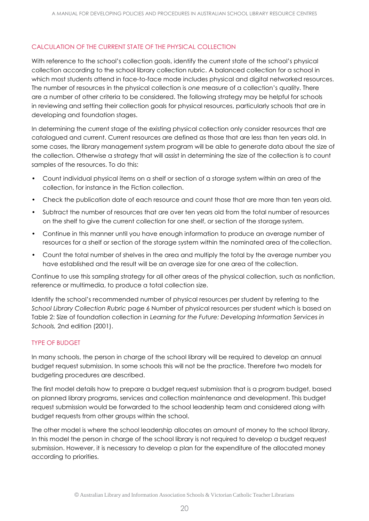# CALCULATION OF THE CURRENT STATE OF THE PHYSICAL COLLECTION

With reference to the school's collection goals, identify the current state of the school's physical collection according to the school library collection rubric. A balanced collection for a school in which most students attend in face-to-face mode includes physical and digital networked resources. The number of resources in the physical collection is *one* measure of a collection's quality. There are a number of other criteria to be considered. The following strategy may be helpful for schools in reviewing and setting their collection goals for physical resources, particularly schools that are in developing and foundation stages.

In determining the current stage of the existing physical collection only consider resources that are catalogued and current. Current resources are defined as those that are less than ten years old. In some cases, the library management system program will be able to generate data about the size of the collection. Otherwise a strategy that will assist in determining the size of the collection is to count samples of the resources. To do this:

- Count individual physical items on a shelf or section of a storage system within an area of the collection, for instance in the Fiction collection.
- Check the publication date of each resource and count those that are more than ten years old.
- Subtract the number of resources that are over ten years old from the total number of resources on the shelf to give the current collection for one shelf, or section of the storage system.
- Continue in this manner until you have enough information to produce an average number of resources for a shelf or section of the storage system within the nominated area of thecollection.
- Count the total number of shelves in the area and multiply the total by the average number you have established and the result will be an average size for one area of the collection.

Continue to use this sampling strategy for all other areas of the physical collection, such as nonfiction, reference or multimedia, to produce a total collection size.

Identify the school's recommended number of physical resources per student by referring to the *School Library Collection Rubric* page 6 Number of physical resources per student which is based on Table 2: Size of foundation collection in *Learning for the Future: Developing Information Services in Schools,* 2nd edition (2001).

# TYPE OF BUDGET

In many schools, the person in charge of the school library will be required to develop an annual budget request submission. In some schools this will not be the practice. Therefore two models for budgeting procedures are described.

The first model details how to prepare a budget request submission that is a program budget, based on planned library programs, services and collection maintenance and development. This budget request submission would be forwarded to the school leadership team and considered along with budget requests from other groups within the school.

The other model is where the school leadership allocates an amount of money to the school library. In this model the person in charge of the school library is not required to develop a budget request submission. However, it is necessary to develop a plan for the expenditure of the allocated money according to priorities.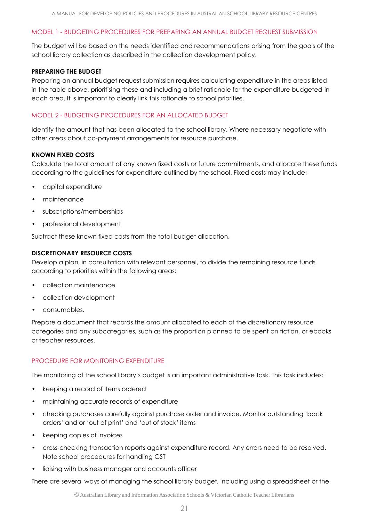# MODEL 1 - BUDGETING PROCEDURES FOR PREPARING AN ANNUAL BUDGET REQUEST SUBMISSION

The budget will be based on the needs identified and recommendations arising from the goals of the school library collection as described in the collection development policy.

#### **PREPARING THE BUDGET**

Preparing an annual budget request submission requires calculating expenditure in the areas listed in the table above, prioritising these and including a brief rationale for the expenditure budgeted in each area. It is important to clearly link this rationale to school priorities.

#### MODEL 2 - BUDGETING PROCEDURES FOR AN ALLOCATED BUDGET

Identify the amount that has been allocated to the school library. Where necessary negotiate with other areas about co-payment arrangements for resource purchase.

#### **KNOWN FIXED COSTS**

Calculate the total amount of any known fixed costs or future commitments, and allocate these funds according to the guidelines for expenditure outlined by the school. Fixed costs may include:

- capital expenditure
- maintenance
- subscriptions/memberships
- professional development

Subtract these known fixed costs from the total budget allocation.

#### **DISCRETIONARY RESOURCE COSTS**

Develop a plan, in consultation with relevant personnel, to divide the remaining resource funds according to priorities within the following areas:

- collection maintenance
- collection development
- consumables.

Prepare a document that records the amount allocated to each of the discretionary resource categories and any subcategories, such as the proportion planned to be spent on fiction, or ebooks or teacher resources.

# PROCEDURE FOR MONITORING EXPENDITURE

The monitoring of the school library's budget is an important administrative task. This task includes:

- keeping a record of items ordered
- maintaining accurate records of expenditure
- checking purchases carefully against purchase order and invoice. Monitor outstanding 'back orders' and or 'out of print' and 'out of stock' items
- keeping copies of invoices
- cross-checking transaction reports against expenditure record. Any errors need to be resolved. Note school procedures for handling GST
- liaising with business manager and accounts officer

There are several ways of managing the school library budget, including using a spreadsheet or the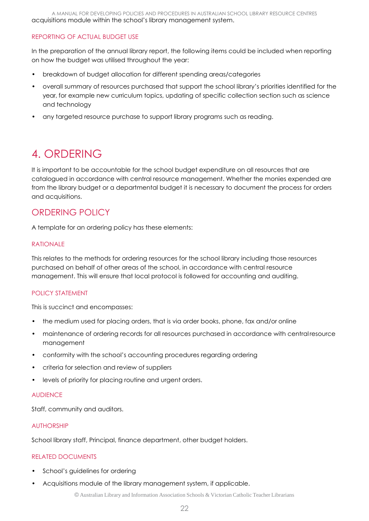A MANUAL FOR DEVELOPING POLICIES AND PROCEDURES IN AUSTRALIAN SCHOOL LIBRARY RESOURCE CENTRES acquisitions module within the school's library management system.

# REPORTING OF ACTUAL BUDGET USE

In the preparation of the annual library report, the following items could be included when reporting on how the budget was utilised throughout the year:

- breakdown of budget allocation for different spending areas/categories
- overall summary of resources purchased that support the school library's priorities identified for the year, for example new curriculum topics, updating of specific collection section such as science and technology
- any targeted resource purchase to support library programs such as reading.

# <span id="page-21-0"></span>4. ORDERING

It is important to be accountable for the school budget expenditure on all resources that are catalogued in accordance with central resource management. Whether the monies expended are from the library budget or a departmental budget it is necessary to document the process for orders and acquisitions.

# ORDERING POLICY

A template for an ordering policy has these elements:

#### RATIONALE

This relates to the methods for ordering resources for the school library including those resources purchased on behalf of other areas of the school, in accordance with central resource management. This will ensure that local protocol is followed for accounting and auditing.

# POLICY STATEMENT

This is succinct and encompasses:

- the medium used for placing orders, that is via order books, phone, fax and/or online
- maintenance of ordering records for all resources purchased in accordance with centralresource management
- conformity with the school's accounting procedures regarding ordering
- criteria for selection and review of suppliers
- levels of priority for placing routine and urgent orders.

#### AUDIENCE

Staff, community and auditors.

# AUTHORSHIP

School library staff, Principal, finance department, other budget holders.

# RELATED DOCUMENTS

- School's guidelines for ordering
- Acquisitions module of the library management system, if applicable.

© Australian Library and Information Association Schools & Victorian Catholic Teacher Librarians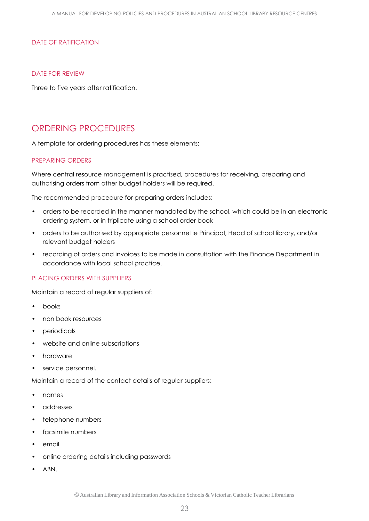#### DATE OF RATIFICATION

#### DATE FOR REVIEW

Three to five years after ratification.

# ORDERING PROCEDURES

A template for ordering procedures has these elements:

#### PREPARING ORDERS

Where central resource management is practised, procedures for receiving, preparing and authorising orders from other budget holders will be required.

The recommended procedure for preparing orders includes:

- orders to be recorded in the manner mandated by the school, which could be in an electronic ordering system, or in triplicate using a school order book
- orders to be authorised by appropriate personnel ie Principal, Head of school library, and/or relevant budget holders
- recording of orders and invoices to be made in consultation with the Finance Department in accordance with local school practice.

# PLACING ORDERS WITH SUPPLIERS

Maintain a record of regular suppliers of:

- books
- non book resources
- periodicals
- website and online subscriptions
- hardware
- service personnel.

Maintain a record of the contact details of regular suppliers:

- names
- addresses
- telephone numbers
- facsimile numbers
- email
- online ordering details including passwords
- ABN.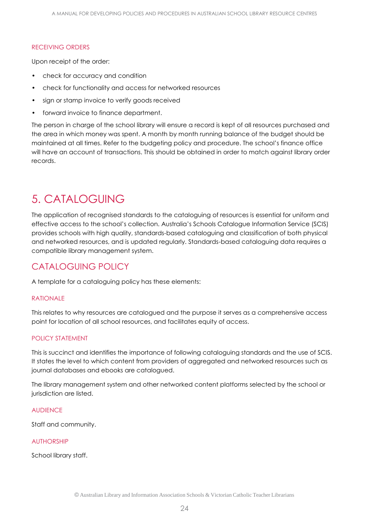#### RECEIVING ORDERS

Upon receipt of the order:

- check for accuracy and condition
- check for functionality and access for networked resources
- sign or stamp invoice to verify goods received
- forward invoice to finance department.

The person in charge of the school library will ensure a record is kept of all resources purchased and the area in which money was spent. A month by month running balance of the budget should be maintained at all times. Refer to the budgeting policy and procedure. The school's finance office will have an account of transactions. This should be obtained in order to match against library order records.

# <span id="page-23-0"></span>5. CATALOGUING

The application of recognised standards to the cataloguing of resources is essential for uniform and effective access to the school's collection. Australia's Schools Catalogue Information Service (SCIS) provides schools with high quality, standards-based cataloguing and classification of both physical and networked resources, and is updated regularly. Standards-based cataloguing data requires a compatible library management system.

# CATALOGUING POLICY

A template for a cataloguing policy has these elements:

#### RATIONALE

This relates to why resources are catalogued and the purpose it serves as a comprehensive access point for location of all school resources, and facilitates equity of access.

# POLICY STATEMENT

This is succinct and identifies the importance of following cataloguing standards and the use of SCIS. It states the level to which content from providers of aggregated and networked resources such as journal databases and ebooks are catalogued.

The library management system and other networked content platforms selected by the school or jurisdiction are listed.

#### **AUDIENCE**

Staff and community.

# AUTHORSHIP

School library staff.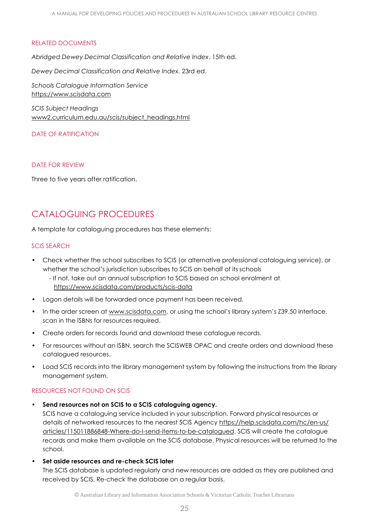#### RELATED DOCUMENTS

*Abridged Dewey Decimal Classification and Relative Index*. 15th ed.

*Dewey Decimal Classification and Relative Index.* 23rd ed.

*Schools Catalogue Information Service* [https://www.scisdata.com](https://www.scisdata.com/)

*SCIS Subject Headings* [www2.curriculum.edu.au/scis/subject\\_headings.html](http://www2.curriculum.edu.au/scis/subject_headings.html)

#### DATE OF RATIFICATION

#### DATE FOR REVIEW

Three to five years after ratification.

# CATALOGUING PROCEDURES

A template for cataloguing procedures has these elements:

#### SCIS SEARCH

- Check whether the school subscribes to SCIS (or alternative professional cataloguing service), or whether the school's jurisdiction subscribes to SCIS on behalf of its schools
	- If not, take out an annual subscription to SCIS based on school enrolment at <https://www.scisdata.com/products/scis-data>
- Logon details will be forwarded once payment has been received.
- In the order screen at [www.scisdata.com,](http://www.scisdata.com/) or using the school's library system's Z39.50 interface, scan in the ISBNs for resources required.
- Create orders for records found and download these catalogue records.
- For resources without an ISBN, search the SCISWEB OPAC and create orders and download these catalogued resources.
- Load SCIS records into the library management system by following the instructions from the library management system.

# RESOURCES NOT FOUND ON SCIS

**• Send resources not on SCIS to a SCIS cataloguing agency.**

SCIS have a cataloguing service included in your subscription. Forward physical resources or details of networked resources to the nearest SCIS Agency [https://help.scisdata.com/hc/en-us/](https://help.scisdata.com/hc/en-us/articles/115011886848-Where-do-I-send-items-to-be-catalogued) [articles/115011886848-Where-do-I-send-items-to-be-catalogued.](https://help.scisdata.com/hc/en-us/articles/115011886848-Where-do-I-send-items-to-be-catalogued) SCIS will create the catalogue records and make them available on the SCIS database. Physical resources will be returned to the school.

**• Set aside resources and re-check SCIS later**

The SCIS database is updated regularly and new resources are added as they are published and received by SCIS. Re-check the database on a regular basis.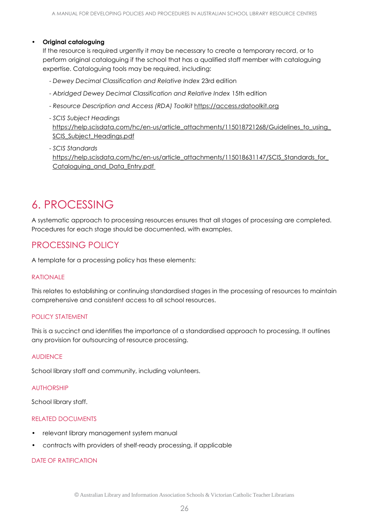#### **• Original cataloguing**

If the resource is required urgently it may be necessary to create a temporary record, or to perform original cataloguing if the school that has a qualified staff member with cataloguing expertise. Cataloguing tools may be required, including:

- *Dewey Decimal Classification and Relative Index* 23rd edition
- *Abridged Dewey Decimal Classification and Relative Index* 15th edition
- *Resource Description and Access (RDA) Toolkit* [https://access.rdatoolkit.org](https://access.rdatoolkit.org/)
- *SCIS Subject Headings* https://help.scisdata.com/hc/en-us/article\_attachments/115018721268/Guidelines\_to\_using SCIS Subject Headings.pdf
- *SCIS Standards* [https://help.scisdata.com/hc/en-us/article\\_attachments/115018631147/SCIS\\_Standards\\_for\\_](https://help.scisdata.com/hc/en-us/article_attachments/115018631147/SCIS_Standards_for_Cataloguing_and_Data_Entry.pdf) [Cataloguing\\_and\\_Data\\_Entry.pdf](https://help.scisdata.com/hc/en-us/article_attachments/115018631147/SCIS_Standards_for_Cataloguing_and_Data_Entry.pdf)

# <span id="page-25-0"></span>6. PROCESSING

A systematic approach to processing resources ensures that all stages of processing are completed. Procedures for each stage should be documented, with examples.

# PROCESSING POLICY

A template for a processing policy has these elements:

# RATIONALE

This relates to establishing or continuing standardised stages in the processing of resources to maintain comprehensive and consistent access to all school resources.

# POLICY STATEMENT

This is a succinct and identifies the importance of a standardised approach to processing. It outlines any provision for outsourcing of resource processing.

#### **AUDIFNCF**

School library staff and community, including volunteers.

#### AUTHORSHIP

School library staff.

# RELATED DOCUMENTS

- relevant library management system manual
- contracts with providers of shelf-ready processing, if applicable

#### DATE OF RATIFICATION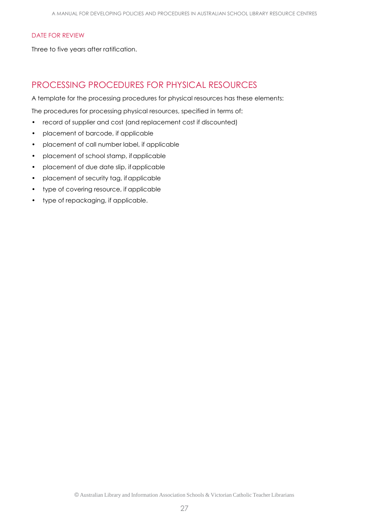#### DATE FOR REVIEW

Three to five years after ratification.

# PROCESSING PROCEDURES FOR PHYSICAL RESOURCES

A template for the processing procedures for physical resources has these elements:

The procedures for processing physical resources, specified in terms of:

- record of supplier and cost (and replacement cost if discounted)
- placement of barcode, if applicable
- placement of call number label, if applicable
- placement of school stamp, ifapplicable
- placement of due date slip, ifapplicable
- placement of security tag, if applicable
- type of covering resource, if applicable
- type of repackaging, if applicable.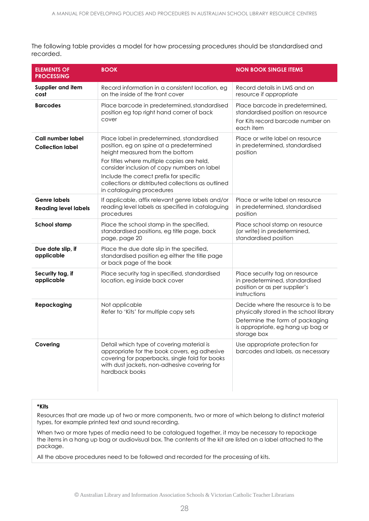The following table provides a model for how processing procedures should be standardised and recorded.

| <b>ELEMENTS OF</b><br><b>PROCESSING</b>            | <b>BOOK</b>                                                                                                                                                                                                                                                                                                                                                                                                                            | <b>NON BOOK SINGLE ITEMS</b>                                                                                                                                         |  |
|----------------------------------------------------|----------------------------------------------------------------------------------------------------------------------------------------------------------------------------------------------------------------------------------------------------------------------------------------------------------------------------------------------------------------------------------------------------------------------------------------|----------------------------------------------------------------------------------------------------------------------------------------------------------------------|--|
| Supplier and item<br>cost                          | Record information in a consistent location, eg<br>on the inside of the front cover                                                                                                                                                                                                                                                                                                                                                    | Record details in LMS and on<br>resource if appropriate                                                                                                              |  |
| <b>Barcodes</b>                                    | Place barcode in predetermined, standardised<br>position eg top right hand corner of back<br>cover                                                                                                                                                                                                                                                                                                                                     | Place barcode in predetermined,<br>standardised position on resource<br>For Kits record barcode number on<br>each item                                               |  |
| Call number label<br><b>Collection label</b>       | Place label in predetermined, standardised<br>Place or write label on resource<br>position, eg on spine at a predetermined<br>in predetermined, standardised<br>height measured from the bottom<br>position<br>For titles where multiple copies are held,<br>consider inclusion of copy numbers on label<br>Include the correct prefix for specific<br>collections or distributed collections as outlined<br>in cataloguing procedures |                                                                                                                                                                      |  |
| <b>Genre labels</b><br><b>Reading level labels</b> | If applicable, affix relevant genre labels and/or<br>reading level labels as specified in cataloguing<br>procedures                                                                                                                                                                                                                                                                                                                    | Place or write label on resource<br>in predetermined, standardised<br>position                                                                                       |  |
| <b>School stamp</b>                                | Place the school stamp in the specified,<br>standardised positions, eg title page, back<br>page, page 20                                                                                                                                                                                                                                                                                                                               | Place school stamp on resource<br>(or write) in predetermined,<br>standardised position                                                                              |  |
| Due date slip, if<br>applicable                    | Place the due date slip in the specified,<br>standardised position eg either the title page<br>or back page of the book                                                                                                                                                                                                                                                                                                                |                                                                                                                                                                      |  |
| Security tag, if<br>applicable                     | Place security tag in specified, standardised<br>location, eg inside back cover                                                                                                                                                                                                                                                                                                                                                        | Place security tag on resource<br>in predetermined, standardised<br>position or as per supplier's<br>instructions                                                    |  |
| Repackaging                                        | Not applicable<br>Refer to 'Kits' for multiple copy sets                                                                                                                                                                                                                                                                                                                                                                               | Decide where the resource is to be<br>physically stored in the school library<br>Determine the form of packaging<br>is appropriate, eg hang up bag or<br>storage box |  |
| Covering                                           | Detail which type of covering material is<br>appropriate for the book covers, eg adhesive<br>covering for paperbacks, single fold for books<br>with dust jackets, non-adhesive covering for<br>hardback books                                                                                                                                                                                                                          | Use appropriate protection for<br>barcodes and labels, as necessary                                                                                                  |  |

#### **\*Kits**

Resources that are made up of two or more components, two or more of which belong to distinct material types, for example printed text and sound recording.

When two or more types of media need to be catalogued together, it may be necessary to repackage the items in a hang up bag or audiovisual box. The contents of the kit are listed on a label attached to the package.

All the above procedures need to be followed and recorded for the processing of kits.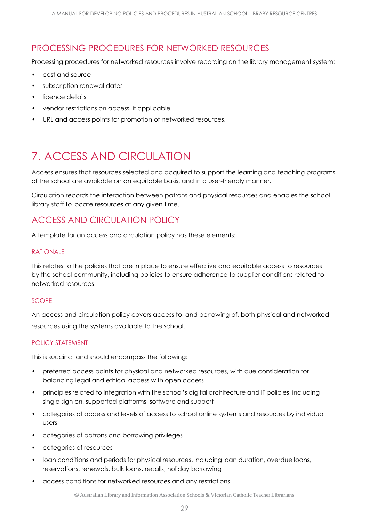# PROCESSING PROCEDURES FOR NETWORKED RESOURCES

Processing procedures for networked resources involve recording on the library management system:

- cost and source
- subscription renewal dates
- licence details
- vendor restrictions on access, if applicable
- URL and access points for promotion of networked resources.

# <span id="page-28-0"></span>7. ACCESS AND CIRCUI ATION

Access ensures that resources selected and acquired to support the learning and teaching programs of the school are available on an equitable basis, and in a user-friendly manner.

Circulation records the interaction between patrons and physical resources and enables the school library staff to locate resources at any given time.

# ACCESS AND CIRCULATION POLICY

A template for an access and circulation policy has these elements:

# RATIONALE

This relates to the policies that are in place to ensure effective and equitable access to resources by the school community, including policies to ensure adherence to supplier conditions related to networked resources.

# **SCOPE**

An access and circulation policy covers access to, and borrowing of, both physical and networked resources using the systems available to the school.

# POLICY STATEMENT

This is succinct and should encompass the following:

- preferred access points for physical and networked resources, with due consideration for balancing legal and ethical access with open access
- principles related to integration with the school's digital architecture and IT policies, including single sign on, supported platforms, software and support
- categories of access and levels of access to school online systems and resources by individual users
- categories of patrons and borrowing privileges
- categories of resources
- loan conditions and periods for physical resources, including loan duration, overdue loans, reservations, renewals, bulk loans, recalls, holiday borrowing
- access conditions for networked resources and any restrictions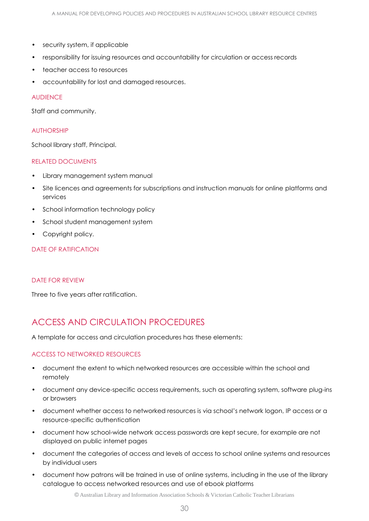- security system, if applicable
- responsibility for issuing resources and accountability for circulation or access records
- teacher access to resources
- accountability for lost and damaged resources.

#### AUDIENCE

Staff and community.

#### AUTHORSHIP

School library staff, Principal.

#### RELATED DOCUMENTS

- Library management system manual
- Site licences and agreements for subscriptions and instruction manuals for online platforms and services
- School information technology policy
- School student management system
- Copyright policy.

# DATE OF RATIFICATION

#### DATE FOR REVIEW

Three to five years after ratification.

# ACCESS AND CIRCULATION PROCEDURES

A template for access and circulation procedures has these elements:

# ACCESS TO NETWORKED RESOURCES

- document the extent to which networked resources are accessible within the school and remotely
- document any device-specific access requirements, such as operating system, software plug-ins or browsers
- document whether access to networked resources is via school's network logon, IP access or a resource-specific authentication
- document how school-wide network access passwords are kept secure, for example are not displayed on public internet pages
- document the categories of access and levels of access to school online systems and resources by individual users
- document how patrons will be trained in use of online systems, including in the use of the library catalogue to access networked resources and use of ebook platforms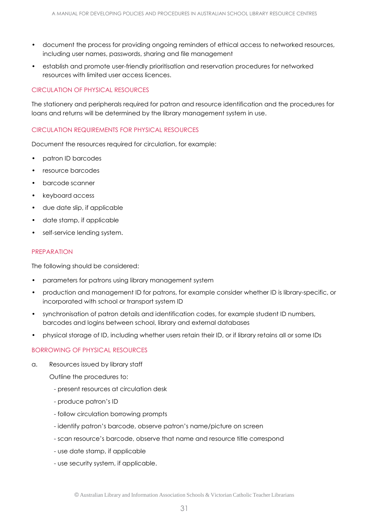- document the process for providing ongoing reminders of ethical access to networked resources, including user names, passwords, sharing and file management
- establish and promote user-friendly prioritisation and reservation procedures for networked resources with limited user access licences.

# CIRCULATION OF PHYSICAL RESOURCES

The stationery and peripherals required for patron and resource identification and the procedures for loans and returns will be determined by the library management system in use.

# CIRCULATION REQUIREMENTS FOR PHYSICAL RESOURCES

Document the resources required for circulation, for example:

- patron ID barcodes
- resource barcodes
- barcode scanner
- keyboard access
- due date slip, if applicable
- date stamp, if applicable
- self-service lending system.

#### PREPARATION

The following should be considered:

- parameters for patrons using library management system
- production and management ID for patrons, for example consider whether ID is library-specific, or incorporated with school or transport system ID
- synchronisation of patron details and identification codes, for example student ID numbers, barcodes and logins between school, library and external databases
- physical storage of ID, including whether users retain their ID, or if library retains all or some IDs

# BORROWING OF PHYSICAL RESOURCES

a. Resources issued by library staff

Outline the procedures to:

- present resources at circulation desk
- produce patron's ID
- follow circulation borrowing prompts
- identify patron's barcode, observe patron's name/picture on screen
- scan resource's barcode, observe that name and resource title correspond
- use date stamp, if applicable
- use security system, if applicable.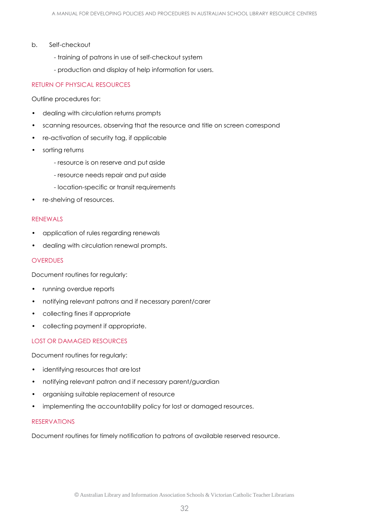- b. Self-checkout
	- training of patrons in use of self-checkout system
	- production and display of help information for users.

# RETURN OF PHYSICAL RESOURCES

Outline procedures for:

- dealing with circulation returns prompts
- scanning resources, observing that the resource and title on screen correspond
- re-activation of security tag, if applicable
- sorting returns
	- resource is on reserve and put aside
	- resource needs repair and put aside
	- location-specific or transit requirements
- re-shelving of resources.

#### RENEWALS

- application of rules regarding renewals
- dealing with circulation renewal prompts.

#### **OVERDUES**

Document routines for regularly:

- running overdue reports
- notifying relevant patrons and if necessary parent/carer
- collecting fines if appropriate
- collecting payment if appropriate.

# LOST OR DAMAGED RESOURCES

Document routines for regularly:

- identifying resources that are lost
- notifying relevant patron and if necessary parent/guardian
- organising suitable replacement of resource
- implementing the accountability policy for lost or damaged resources.

#### RESERVATIONS

Document routines for timely notification to patrons of available reserved resource.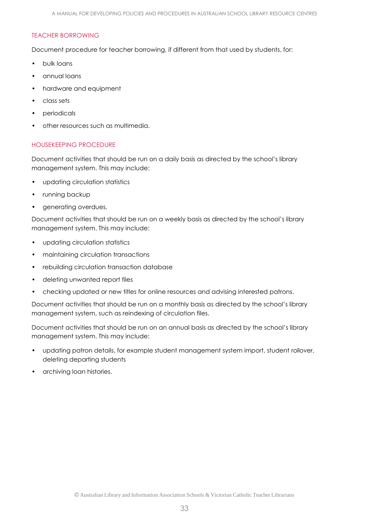#### TEACHER BORROWING

Document procedure for teacher borrowing, if different from that used by students, for:

- bulk loans
- annual loans
- hardware and equipment
- class sets
- periodicals
- other resources such as multimedia.

# HOUSEKEEPING PROCEDURE

Document activities that should be run on a daily basis as directed by the school's library management system. This may include:

- updating circulation statistics
- running backup
- generating overdues.

Document activities that should be run on a weekly basis as directed by the school's library management system. This may include:

- updating circulation statistics
- maintaining circulation transactions
- rebuilding circulation transaction database
- deleting unwanted report files
- checking updated or new titles for online resources and advising interested patrons.

Document activities that should be run on a monthly basis as directed by the school's library management system, such as reindexing of circulation files.

Document activities that should be run on an annual basis as directed by the school's library management system. This may include:

- updating patron details, for example student management system import, student rollover, deleting departing students
- archiving loan histories.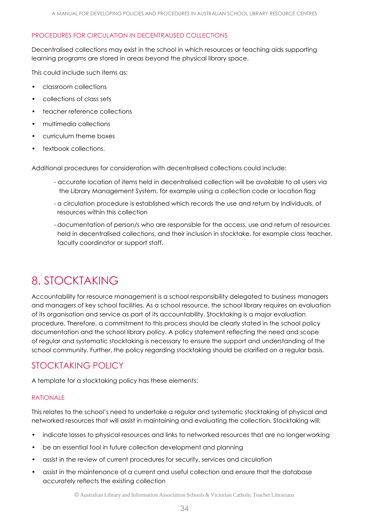# PROCEDURES FOR CIRCULATION IN DECENTRALISED COLLECTIONS

Decentralised collections may exist in the school in which resources or teaching aids supporting learning programs are stored in areas beyond the physical library space.

This could include such items as:

- classroom collections
- collections of class sets
- teacher reference collections
- multimedia collections
- curriculum theme boxes
- textbook collections.

Additional procedures for consideration with decentralised collections could include:

- accurate location of items held in decentralised collection will be available to all users via the Library Management System, for example using a collection code or location flag
- a circulation procedure is established which records the use and return by individuals, of resources within this collection
- documentation of person/s who are responsible for the access, use and return of resources held in decentralised collections, and their inclusion in stocktake, for example class teacher, faculty coordinator or support staff.

# <span id="page-33-0"></span>8. STOCKTAKING

Accountability for resource management is a school responsibility delegated to business managers and managers of key school facilities. As a school resource, the school library requires an evaluation of its organisation and service as part of its accountability. Stocktaking is a major evaluation procedure. Therefore, a commitment to this process should be clearly stated in the school policy documentation and the school library policy. A policy statement reflecting the need and scope of regular and systematic stocktaking is necessary to ensure the support and understanding of the school community. Further, the policy regarding stocktaking should be clarified on a regular basis.

# STOCKTAKING POLICY

A template for a stocktaking policy has these elements:

# RATIONALE

This relates to the school's need to undertake a regular and systematic stocktaking of physical and networked resources that will assist in maintaining and evaluating the collection. Stocktaking will:

- indicate losses to physical resources and links to networked resources that are no longer working
- be an essential tool in future collection development and planning
- assist in the review of current procedures for security, services and circulation
- assist in the maintenance of a current and useful collection and ensure that the database accurately reflects the existing collection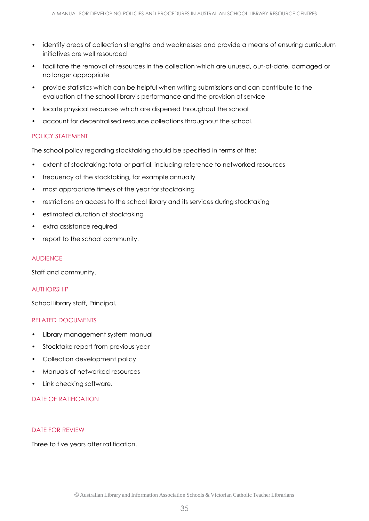- identify areas of collection strengths and weaknesses and provide a means of ensuring curriculum initiatives are well resourced
- facilitate the removal of resources in the collection which are unused, out-of-date, damaged or no longer appropriate
- provide statistics which can be helpful when writing submissions and can contribute to the evaluation of the school library's performance and the provision of service
- locate physical resources which are dispersed throughout the school
- account for decentralised resource collections throughout the school.

# POLICY STATEMENT

The school policy regarding stocktaking should be specified in terms of the:

- extent of stocktaking: total or partial, including reference to networked resources
- frequency of the stocktaking, for example annually
- most appropriate time/s of the year for stocktaking
- restrictions on access to the school library and its services during stocktaking
- estimated duration of stocktaking
- extra assistance required
- report to the school community.

#### **AUDIENCE**

Staff and community.

#### **AUTHORSHIP**

School library staff, Principal.

#### RELATED DOCUMENTS

- Library management system manual
- Stocktake report from previous year
- Collection development policy
- Manuals of networked resources
- Link checking software.

#### DATE OF RATIFICATION

#### DATE FOR REVIEW

Three to five years after ratification.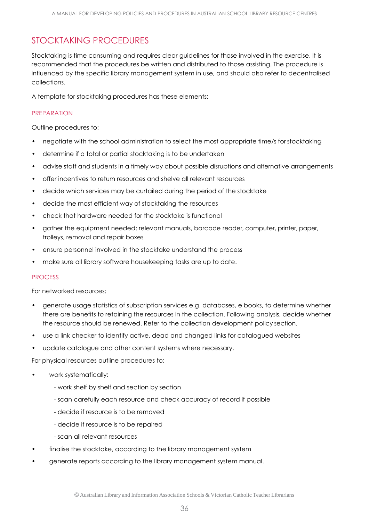# STOCKTAKING PROCEDURES

Stocktaking is time consuming and requires clear guidelines for those involved in the exercise. It is recommended that the procedures be written and distributed to those assisting. The procedure is influenced by the specific library management system in use, and should also refer to decentralised collections.

A template for stocktaking procedures has these elements:

# PREPARATION

Outline procedures to:

- negotiate with the school administration to select the most appropriate time/s for stocktaking
- determine if a total or partial stocktaking is to be undertaken
- advise staff and students in a timely way about possible disruptions and alternative arrangements
- offer incentives to return resources and shelve all relevant resources
- decide which services may be curtailed during the period of the stocktake
- decide the most efficient way of stocktaking the resources
- check that hardware needed for the stocktake is functional
- gather the equipment needed: relevant manuals, barcode reader, computer, printer, paper, trolleys, removal and repair boxes
- ensure personnel involved in the stocktake understand the process
- make sure all library software housekeeping tasks are up to date.

# PROCESS

For networked resources:

- generate usage statistics of subscription services e.g. databases, e books, to determine whether there are benefits to retaining the resources in the collection. Following analysis, decide whether the resource should be renewed. Refer to the collection development policy section.
- use a link checker to identify active, dead and changed links for catalogued websites
- update catalogue and other content systems where necessary.

For physical resources outline procedures to:

- work systematically:
	- work shelf by shelf and section by section
	- scan carefully each resource and check accuracy of record if possible
	- decide if resource is to be removed
	- decide if resource is to be repaired
	- scan all relevant resources
- finalise the stocktake, according to the library management system
- generate reports according to the library management system manual.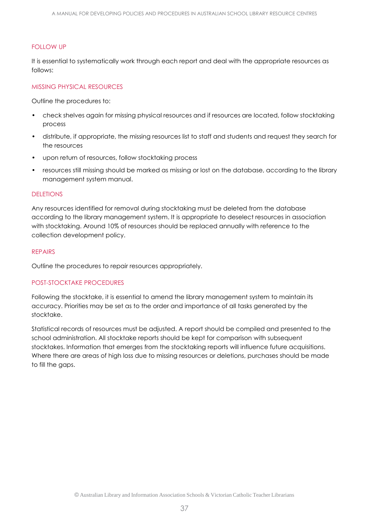# FOLLOW UP

It is essential to systematically work through each report and deal with the appropriate resources as follows:

#### MISSING PHYSICAL RESOURCES

Outline the procedures to:

- check shelves again for missing physical resources and if resources are located, follow stocktaking process
- distribute, if appropriate, the missing resources list to staff and students and request they search for the resources
- upon return of resources, follow stocktaking process
- resources still missing should be marked as missing or lost on the database, according to the library management system manual.

#### DELETIONS

Any resources identified for removal during stocktaking must be deleted from the database according to the library management system. It is appropriate to deselect resources in association with stocktaking. Around 10% of resources should be replaced annually with reference to the collection development policy.

#### REPAIRS

Outline the procedures to repair resources appropriately.

# POST-STOCKTAKE PROCEDURES

Following the stocktake, it is essential to amend the library management system to maintain its accuracy. Priorities may be set as to the order and importance of all tasks generated by the stocktake.

Statistical records of resources must be adjusted. A report should be compiled and presented to the school administration. All stocktake reports should be kept for comparison with subsequent stocktakes. Information that emerges from the stocktaking reports will influence future acquisitions. Where there are areas of high loss due to missing resources or deletions, purchases should be made to fill the gaps.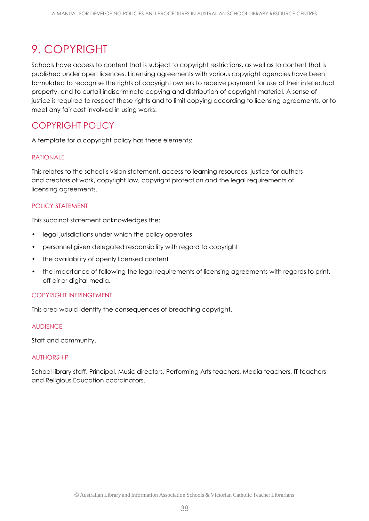# <span id="page-37-0"></span>9. COPYRIGHT

Schools have access to content that is subject to copyright restrictions, as well as to content that is published under open licences. Licensing agreements with various copyright agencies have been formulated to recognise the rights of copyright owners to receive payment for use of their intellectual property, and to curtail indiscriminate copying and distribution of copyright material. A sense of justice is required to respect these rights and to limit copying according to licensing agreements, or to meet any fair cost involved in using works.

# COPYRIGHT POLICY

A template for a copyright policy has these elements:

# RATIONALE

This relates to the school's vision statement, access to learning resources, justice for authors and creators of work, copyright law, copyright protection and the legal requirements of licensing agreements.

# POLICY STATEMENT

This succinct statement acknowledges the:

- legal jurisdictions under which the policy operates
- personnel given delegated responsibility with regard to copyright
- the availability of openly licensed content
- the importance of following the legal requirements of licensing agreements with regards to print, off air or digital media.

# COPYRIGHT INFRINGEMENT

This area would identify the consequences of breaching copyright.

#### AUDIENCE

Staff and community.

# AUTHORSHIP

School library staff, Principal, Music directors, Performing Arts teachers, Media teachers, IT teachers and Religious Education coordinators.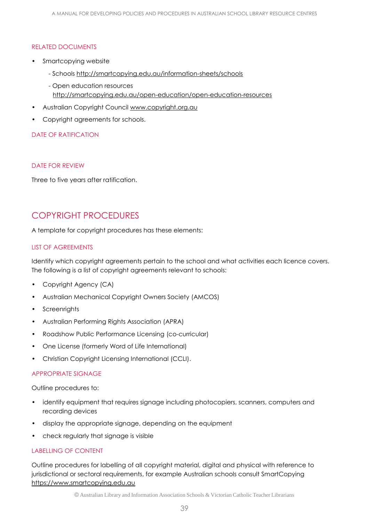# RELATED DOCUMENTS

- Smartcopying website
	- Schools <http://smartcopying.edu.au/information-sheets/schools>
	- Open education resources <http://smartcopying.edu.au/open-education/open-education-resources>
- Australian Copyright Council [www.copyright.org.au](http://www.copyright.org.au/)
- Copyright agreements for schools.

# DATE OF RATIFICATION

# DATE FOR REVIEW

Three to five years after ratification.

# COPYRIGHT PROCEDURES

A template for copyright procedures has these elements:

# LIST OF AGREEMENTS

Identify which copyright agreements pertain to the school and what activities each licence covers. The following is a list of copyright agreements relevant to schools:

- Copyright Agency (CA)
- Australian Mechanical Copyright Owners Society (AMCOS)
- **Screenrights**
- Australian Performing Rights Association (APRA)
- Roadshow Public Performance Licensing (co-curricular)
- One License (formerly Word of Life International)
- Christian Copyright Licensing International (CCLI).

# APPROPRIATE SIGNAGE

Outline procedures to:

- identify equipment that requires signage including photocopiers, scanners, computers and recording devices
- display the appropriate signage, depending on the equipment
- check regularly that signage is visible

# LABELLING OF CONTENT

Outline procedures for labelling of all copyright material, digital and physical with reference to jurisdictional or sectoral requirements, for example Australian schools consult SmartCopying [https://www.smartcopying.edu.au](https://www.smartcopying.edu.au/)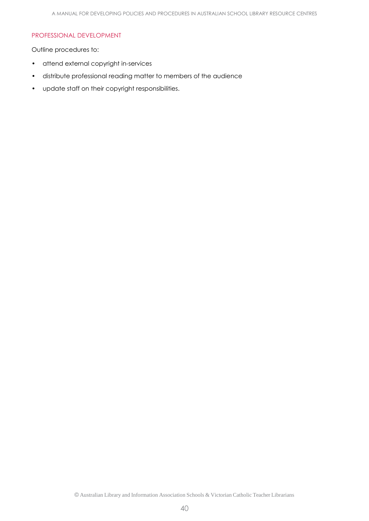#### PROFESSIONAL DEVELOPMENT

Outline procedures to:

- attend external copyright in-services
- distribute professional reading matter to members of the audience
- update staff on their copyright responsibilities.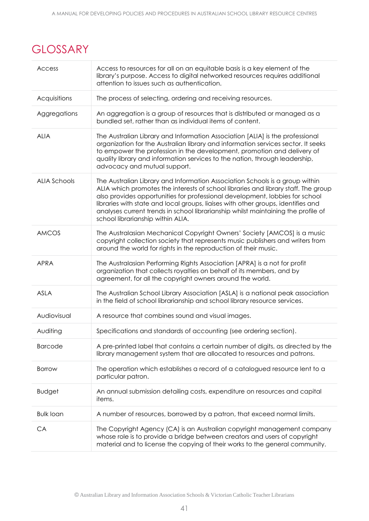# <span id="page-40-0"></span>**GLOSSARY**

| Access              | Access to resources for all on an equitable basis is a key element of the<br>library's purpose. Access to digital networked resources requires additional<br>attention to issues such as authentication.                                                                                                                                                                                                                                                         |  |  |
|---------------------|------------------------------------------------------------------------------------------------------------------------------------------------------------------------------------------------------------------------------------------------------------------------------------------------------------------------------------------------------------------------------------------------------------------------------------------------------------------|--|--|
| Acquisitions        | The process of selecting, ordering and receiving resources.                                                                                                                                                                                                                                                                                                                                                                                                      |  |  |
| Aggregations        | An aggregation is a group of resources that is distributed or managed as a<br>bundled set, rather than as individual items of content.                                                                                                                                                                                                                                                                                                                           |  |  |
| <b>ALIA</b>         | The Australian Library and Information Association [ALIA] is the professional<br>organization for the Australian library and information services sector. It seeks<br>to empower the profession in the development, promotion and delivery of<br>quality library and information services to the nation, through leadership,<br>advocacy and mutual support.                                                                                                     |  |  |
| <b>ALIA Schools</b> | The Australian Library and Information Association Schools is a group within<br>ALIA which promotes the interests of school libraries and library staff. The group<br>also provides opportunities for professional development, lobbies for school<br>libraries with state and local groups, liaises with other groups, identifies and<br>analyses current trends in school librarianship whilst maintaining the profile of<br>school librarianship within ALIA. |  |  |
| <b>AMCOS</b>        | The Australasian Mechanical Copyright Owners' Society [AMCOS] is a music<br>copyright collection society that represents music publishers and writers from<br>around the world for rights in the reproduction of their music.                                                                                                                                                                                                                                    |  |  |
| <b>APRA</b>         | The Australasian Performing Rights Association [APRA] is a not for profit<br>organization that collects royalties on behalf of its members, and by<br>agreement, for all the copyright owners around the world.                                                                                                                                                                                                                                                  |  |  |
| <b>ASLA</b>         | The Australian School Library Association [ASLA] is a national peak association<br>in the field of school librarianship and school library resource services.                                                                                                                                                                                                                                                                                                    |  |  |
| Audiovisual         | A resource that combines sound and visual images.                                                                                                                                                                                                                                                                                                                                                                                                                |  |  |
| Auditing            | Specifications and standards of accounting (see ordering section).                                                                                                                                                                                                                                                                                                                                                                                               |  |  |
| <b>Barcode</b>      | A pre-printed label that contains a certain number of digits, as directed by the<br>library management system that are allocated to resources and patrons.                                                                                                                                                                                                                                                                                                       |  |  |
| <b>Borrow</b>       | The operation which establishes a record of a catalogued resource lent to a<br>particular patron.                                                                                                                                                                                                                                                                                                                                                                |  |  |
| <b>Budget</b>       | An annual submission detailing costs, expenditure on resources and capital<br>items.                                                                                                                                                                                                                                                                                                                                                                             |  |  |
| <b>Bulk loan</b>    | A number of resources, borrowed by a patron, that exceed normal limits.                                                                                                                                                                                                                                                                                                                                                                                          |  |  |
| CA                  | The Copyright Agency (CA) is an Australian copyright management company<br>whose role is to provide a bridge between creators and users of copyright<br>material and to license the copying of their works to the general community.                                                                                                                                                                                                                             |  |  |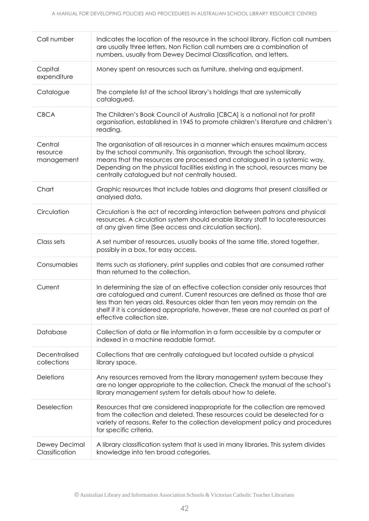| Call number                       | Indicates the location of the resource in the school library. Fiction call numbers<br>are usually three letters. Non Fiction call numbers are a combination of<br>numbers, usually from Dewey Decimal Classification, and letters.                                                                                                                                    |  |  |
|-----------------------------------|-----------------------------------------------------------------------------------------------------------------------------------------------------------------------------------------------------------------------------------------------------------------------------------------------------------------------------------------------------------------------|--|--|
| Capital<br>expenditure            | Money spent on resources such as furniture, shelving and equipment.                                                                                                                                                                                                                                                                                                   |  |  |
| Catalogue                         | The complete list of the school library's holdings that are systemically<br>catalogued.                                                                                                                                                                                                                                                                               |  |  |
| <b>CBCA</b>                       | The Children's Book Council of Australia [CBCA] is a national not for profit<br>organisation, established in 1945 to promote children's literature and children's<br>reading.                                                                                                                                                                                         |  |  |
| Central<br>resource<br>management | The organisation of all resources in a manner which ensures maximum access<br>by the school community. This organisation, through the school library,<br>means that the resources are processed and catalogued in a systemic way.<br>Depending on the physical facilities existing in the school, resources many be<br>centrally catalogued but not centrally housed. |  |  |
| Chart                             | Graphic resources that include tables and diagrams that present classified or<br>analysed data.                                                                                                                                                                                                                                                                       |  |  |
| Circulation                       | Circulation is the act of recording interaction between patrons and physical<br>resources. A circulation system should enable library staff to locate resources<br>at any given time (See access and circulation section).                                                                                                                                            |  |  |
| Class sets                        | A set number of resources, usually books of the same title, stored together,<br>possibly in a box, for easy access.                                                                                                                                                                                                                                                   |  |  |
| Consumables                       | Items such as stationery, print supplies and cables that are consumed rather<br>than returned to the collection.                                                                                                                                                                                                                                                      |  |  |
| Current                           | In determining the size of an effective collection consider only resources that<br>are catalogued and current. Current resources are defined as those that are<br>less than ten years old. Resources older than ten years may remain on the<br>shelf if it is considered appropriate, however, these are not counted as part of<br>effective collection size.         |  |  |
| Database                          | Collection of data or file information in a form accessible by a computer or<br>indexed in a machine readable format.                                                                                                                                                                                                                                                 |  |  |
| Decentralised<br>collections      | Collections that are centrally catalogued but located outside a physical<br>library space.                                                                                                                                                                                                                                                                            |  |  |
| <b>Deletions</b>                  | Any resources removed from the library management system because they<br>are no longer appropriate to the collection. Check the manual of the school's<br>library management system for details about how to delete.                                                                                                                                                  |  |  |
| Deselection                       | Resources that are considered inappropriate for the collection are removed<br>from the collection and deleted. These resources could be deselected for a<br>variety of reasons. Refer to the collection development policy and procedures<br>for specific criteria.                                                                                                   |  |  |
| Dewey Decimal<br>Classification   | A library classification system that is used in many libraries. This system divides<br>knowledge into ten broad categories.                                                                                                                                                                                                                                           |  |  |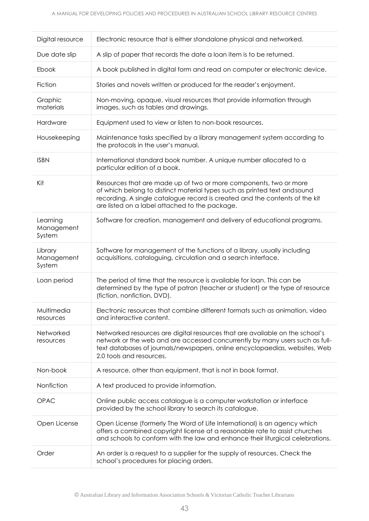| Digital resource                 | Electronic resource that is either standalone physical and networked.                                                                                                                                                                                                           |  |
|----------------------------------|---------------------------------------------------------------------------------------------------------------------------------------------------------------------------------------------------------------------------------------------------------------------------------|--|
| Due date slip                    | A slip of paper that records the date a loan item is to be returned.                                                                                                                                                                                                            |  |
| Ebook                            | A book published in digital form and read on computer or electronic device.                                                                                                                                                                                                     |  |
| Fiction                          | Stories and novels written or produced for the reader's enjoyment.                                                                                                                                                                                                              |  |
| Graphic<br>materials             | Non-moving, opaque, visual resources that provide information through<br>images, such as tables and drawings.                                                                                                                                                                   |  |
| Hardware                         | Equipment used to view or listen to non-book resources.                                                                                                                                                                                                                         |  |
| Housekeeping                     | Maintenance tasks specified by a library management system according to<br>the protocols in the user's manual.                                                                                                                                                                  |  |
| <b>ISBN</b>                      | International standard book number. A unique number allocated to a<br>particular edition of a book.                                                                                                                                                                             |  |
| Kit                              | Resources that are made up of two or more components, two or more<br>of which belong to distinct material types such as printed text and sound<br>recording. A single catalogue record is created and the contents of the kit<br>are listed on a label attached to the package. |  |
| Learning<br>Management<br>System | Software for creation, management and delivery of educational programs.                                                                                                                                                                                                         |  |
| Library<br>Management<br>System  | Software for management of the functions of a library, usually including<br>acquisitions, cataloguing, circulation and a search interface.                                                                                                                                      |  |
| Loan period                      | The period of time that the resource is available for loan. This can be<br>determined by the type of patron (teacher or student) or the type of resource<br>(fiction, nonfiction, DVD).                                                                                         |  |
| Multimedia<br>resources          | Electronic resources that combine different formats such as animation, video<br>and interactive content.                                                                                                                                                                        |  |
| Networked<br>resources           | Networked resources are digital resources that are available on the school's<br>network or the web and are accessed concurrently by many users such as full-<br>text databases of journals/newspapers, online encyclopaedias, websites, Web<br>2.0 tools and resources.         |  |
| Non-book                         | A resource, other than equipment, that is not in book format.                                                                                                                                                                                                                   |  |
| Nonfiction                       | A text produced to provide information.                                                                                                                                                                                                                                         |  |
| <b>OPAC</b>                      | Online public access catalogue is a computer workstation or interface<br>provided by the school library to search its catalogue.                                                                                                                                                |  |
| Open License                     | Open License (formerly The Word of Life International) is an agency which<br>offers a combined copyright license at a reasonable rate to assist churches<br>and schools to conform with the law and enhance their liturgical celebrations.                                      |  |
| Order                            | An order is a request to a supplier for the supply of resources. Check the<br>school's procedures for placing orders.                                                                                                                                                           |  |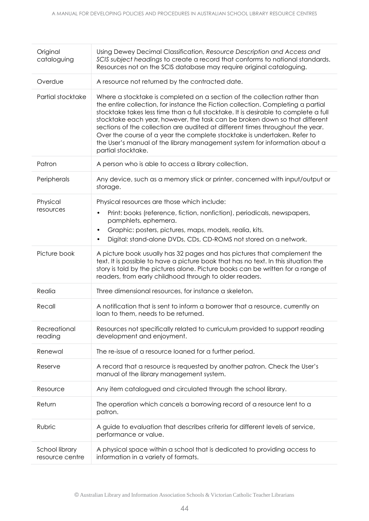| Original<br>cataloguing           | Using Dewey Decimal Classification, Resource Description and Access and<br>SCIS subject headings to create a record that conforms to national standards.<br>Resources not on the SCIS database may require original cataloguing.                                                                                                                                                                                                                                                                                                                                                                      |  |  |
|-----------------------------------|-------------------------------------------------------------------------------------------------------------------------------------------------------------------------------------------------------------------------------------------------------------------------------------------------------------------------------------------------------------------------------------------------------------------------------------------------------------------------------------------------------------------------------------------------------------------------------------------------------|--|--|
| Overdue                           | A resource not returned by the contracted date.                                                                                                                                                                                                                                                                                                                                                                                                                                                                                                                                                       |  |  |
| Partial stocktake                 | Where a stocktake is completed on a section of the collection rather than<br>the entire collection, for instance the Fiction collection. Completing a partial<br>stocktake takes less time than a full stocktake. It is desirable to complete a full<br>stocktake each year, however, the task can be broken down so that different<br>sections of the collection are audited at different times throughout the year.<br>Over the course of a year the complete stocktake is undertaken. Refer to<br>the User's manual of the library management system for information about a<br>partial stocktake. |  |  |
| Patron                            | A person who is able to access a library collection.                                                                                                                                                                                                                                                                                                                                                                                                                                                                                                                                                  |  |  |
| Peripherals                       | Any device, such as a memory stick or printer, concerned with input/output or<br>storage.                                                                                                                                                                                                                                                                                                                                                                                                                                                                                                             |  |  |
| Physical                          | Physical resources are those which include:                                                                                                                                                                                                                                                                                                                                                                                                                                                                                                                                                           |  |  |
| resources                         | Print: books (reference, fiction, nonfiction), periodicals, newspapers,<br>$\bullet$<br>pamphlets, ephemera.                                                                                                                                                                                                                                                                                                                                                                                                                                                                                          |  |  |
|                                   | Graphic: posters, pictures, maps, models, realia, kits.<br>$\bullet$                                                                                                                                                                                                                                                                                                                                                                                                                                                                                                                                  |  |  |
|                                   | Digital: stand-alone DVDs, CDs, CD-ROMS not stored on a network.<br>$\bullet$                                                                                                                                                                                                                                                                                                                                                                                                                                                                                                                         |  |  |
| Picture book                      | A picture book usually has 32 pages and has pictures that complement the<br>text. It is possible to have a picture book that has no text. In this situation the<br>story is told by the pictures alone. Picture books can be written for a range of<br>readers, from early childhood through to older readers.                                                                                                                                                                                                                                                                                        |  |  |
| Realia                            | Three dimensional resources, for instance a skeleton.                                                                                                                                                                                                                                                                                                                                                                                                                                                                                                                                                 |  |  |
| Recall                            | A notification that is sent to inform a borrower that a resource, currently on<br>loan to them, needs to be returned.                                                                                                                                                                                                                                                                                                                                                                                                                                                                                 |  |  |
| Recreational<br>reading           | Resources not specifically related to curriculum provided to support reading<br>development and enjoyment.                                                                                                                                                                                                                                                                                                                                                                                                                                                                                            |  |  |
| Renewal                           | The re-issue of a resource loaned for a further period.                                                                                                                                                                                                                                                                                                                                                                                                                                                                                                                                               |  |  |
| Reserve                           | A record that a resource is requested by another patron. Check the User's<br>manual of the library management system.                                                                                                                                                                                                                                                                                                                                                                                                                                                                                 |  |  |
| Resource                          | Any item catalogued and circulated through the school library.                                                                                                                                                                                                                                                                                                                                                                                                                                                                                                                                        |  |  |
| Return                            | The operation which cancels a borrowing record of a resource lent to a<br>patron.                                                                                                                                                                                                                                                                                                                                                                                                                                                                                                                     |  |  |
| Rubric                            | A guide to evaluation that describes criteria for different levels of service,<br>performance or value.                                                                                                                                                                                                                                                                                                                                                                                                                                                                                               |  |  |
| School library<br>resource centre | A physical space within a school that is dedicated to providing access to<br>information in a variety of formats.                                                                                                                                                                                                                                                                                                                                                                                                                                                                                     |  |  |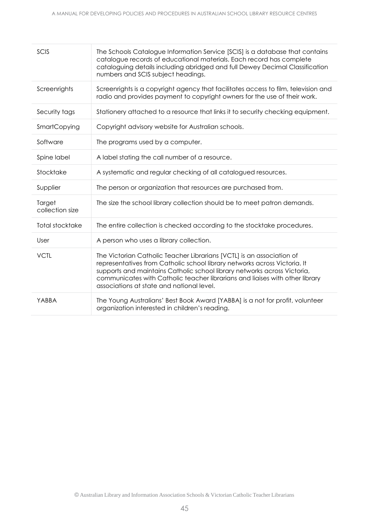| SCIS                      | The Schools Catalogue Information Service [SCIS] is a database that contains<br>catalogue records of educational materials. Each record has complete<br>cataloguing details including abridged and full Dewey Decimal Classification<br>numbers and SCIS subject headings.                                                                                  |
|---------------------------|-------------------------------------------------------------------------------------------------------------------------------------------------------------------------------------------------------------------------------------------------------------------------------------------------------------------------------------------------------------|
| Screenrights              | Screenrights is a copyright agency that facilitates access to film, television and<br>radio and provides payment to copyright owners for the use of their work.                                                                                                                                                                                             |
| Security tags             | Stationery attached to a resource that links it to security checking equipment.                                                                                                                                                                                                                                                                             |
| SmartCopying              | Copyright advisory website for Australian schools.                                                                                                                                                                                                                                                                                                          |
| Software                  | The programs used by a computer.                                                                                                                                                                                                                                                                                                                            |
| Spine label               | A label stating the call number of a resource.                                                                                                                                                                                                                                                                                                              |
| Stocktake                 | A systematic and regular checking of all catalogued resources.                                                                                                                                                                                                                                                                                              |
| Supplier                  | The person or organization that resources are purchased from.                                                                                                                                                                                                                                                                                               |
| Target<br>collection size | The size the school library collection should be to meet patron demands.                                                                                                                                                                                                                                                                                    |
| <b>Total stocktake</b>    | The entire collection is checked according to the stocktake procedures.                                                                                                                                                                                                                                                                                     |
| User                      | A person who uses a library collection.                                                                                                                                                                                                                                                                                                                     |
| <b>VCTL</b>               | The Victorian Catholic Teacher Librarians [VCTL] is an association of<br>representatives from Catholic school library networks across Victoria. It<br>supports and maintains Catholic school library networks across Victoria,<br>communicates with Catholic teacher librarians and liaises with other library<br>associations at state and national level. |
| YABBA                     | The Young Australians' Best Book Award [YABBA] is a not for profit, volunteer<br>organization interested in children's reading.                                                                                                                                                                                                                             |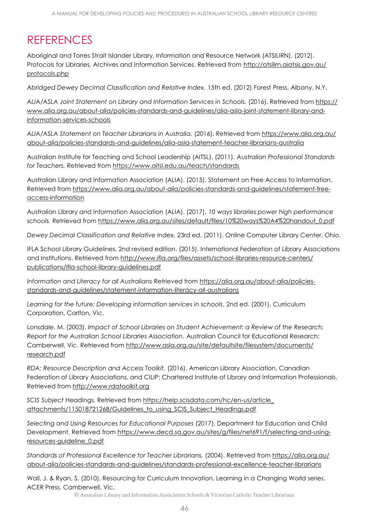# <span id="page-45-0"></span>**REFERENCES**

Aboriginal and Torres Strait Islander Library, Information and Resource Network (ATSILIRN). (2012). Protocols for Libraries, Archives and Information Services. Retrieved from [http://atsilirn.aiatsis.gov.au/](http://atsilirn.aiatsis.gov.au/protocols.php) [protocols.php](http://atsilirn.aiatsis.gov.au/protocols.php)

*Abridged Dewey Decimal Classification and Relative Index.* 15th ed. (2012) Forest Press, Albany, N.Y.

*ALIA/ASLA Joint Statement on Library and Information Services in Schools.* (2016). Retrieved from [https://](https://www.alia.org.au/about-alia/policies-standards-and-guidelines/alia-asla-joint-statement-library-and-information-services-schools) [www.alia.org.au/about-alia/policies-standards-and-guidelines/alia-asla-joint-statement-library-and](https://www.alia.org.au/about-alia/policies-standards-and-guidelines/alia-asla-joint-statement-library-and-information-services-schools)[information-services-schools](https://www.alia.org.au/about-alia/policies-standards-and-guidelines/alia-asla-joint-statement-library-and-information-services-schools)

*ALIA/ASLA Statement on Teacher Librarians in Australia.* (2016). Retrieved from [https://www.alia.org.au/](https://www.alia.org.au/about-alia/policies-standards-and-guidelines/alia-asla-statement-teacher-librarians-australia) [about-alia/policies-standards-and-guidelines/alia-asla-statement-teacher-librarians-australia](https://www.alia.org.au/about-alia/policies-standards-and-guidelines/alia-asla-statement-teacher-librarians-australia)

Australian Institute for Teaching and School Leadership (AITSL). (2011). *Australian Professional Standards for Teachers.* Retrieved from<https://www.aitsl.edu.au/teach/standards>

Australian Library and Information Association (ALIA). (2015). Statement on Free Access to Information. Retrieved from [https://www.alia.org.au/about-alia/policies-standards-and-guidelines/statement-free](https://www.alia.org.au/about-alia/policies-standards-and-guidelines/statement-free-access-information)[access-information](https://www.alia.org.au/about-alia/policies-standards-and-guidelines/statement-free-access-information)

Australian Library and Information Association (ALIA). (2017). *10 ways libraries power high performance*  schools. Retrieved from [https://www.alia.org.au/sites/default/files/10%20ways%20A4%20handout\\_0.pdf](https://www.alia.org.au/sites/default/files/10%20ways%20A4%20handout_0.pdf)

*Dewey Decimal Classification and Relative Index.* 23rd ed. (2011). Online Computer Library Center, Ohio.

IFLA School Library Guidelines. 2nd revised edition. (2015). International Federation of Library Associations and Institutions. Retrieved from [http://www.ifla.org/files/assets/school-libraries-resource-centers/](http://www.ifla.org/files/assets/school-libraries-resource-centers/publications/ifla-school-library-guidelines.pdf) [publications/ifla-school-library-guidelines.pdf](http://www.ifla.org/files/assets/school-libraries-resource-centers/publications/ifla-school-library-guidelines.pdf)

*Information and Literacy for all Australians* Retrieved from [https://alia.org.au/about-alia/policies](https://alia.org.au/about-alia/policies-standards-and-guidelines/statement-information-literacy-all-australians)[standards-and-guidelines/statement-information-literacy-all-australians](https://alia.org.au/about-alia/policies-standards-and-guidelines/statement-information-literacy-all-australians)

*Learning for the future: Developing information services in schools*, 2nd ed. (2001). Curriculum Corporation, Carlton, Vic.

Lonsdale. M. (2003). *Impact of School Libraries on Student Achievement: a Review of the Research: Report for the Australian School Libraries Association.* Australian Council for Educational Research: Camberwell, Vic. Retrieved from [http://www.asla.org.au/site/defaultsite/filesystem/documents/](http://www.asla.org.au/site/defaultsite/filesystem/documents/research.pdf) [research.pdf](http://www.asla.org.au/site/defaultsite/filesystem/documents/research.pdf)

*RDA: Resource Description and Access Toolkit.* (2016). American Library Association, Canadian Federation of Library Associations, and CILIP: Chartered Institute of Library and Information Professionals. Retrieved from [http://www.rdatoolkit.org](http://www.rdatoolkit.org/)

*SCIS Subject* Headings. Retrieved from [https://help.scisdata.com/hc/en-us/article\\_](https://help.scisdata.com/hc/en-us/article_attachments/115018721268/Guidelines_to_using_SCIS_Subject_Headings.pdf) attachments/115018721268/Guidelines to using SCIS Subject Headings.pdf

*Selecting and Using Resources for Educational Purposes* (2017). Department for Education and Child Development. Retrieved from [https://www.decd.sa.gov.au/sites/g/files/net691/f/selecting-and-using](https://www.decd.sa.gov.au/sites/g/files/net691/f/selecting-and-using-resources-guideline_0.pdf)[resources-guideline\\_0.pdf](https://www.decd.sa.gov.au/sites/g/files/net691/f/selecting-and-using-resources-guideline_0.pdf)

*Standards of Professional Excellence for Teacher Librarians.* (2004). Retrieved from [https://alia.org.au/](https://alia.org.au/about-alia/policies-standards-and-guidelines/standards-professional-excellence-teacher-librarians) [about-alia/policies-standards-and-guidelines/standards-professional-excellence-teacher-librarians](https://alia.org.au/about-alia/policies-standards-and-guidelines/standards-professional-excellence-teacher-librarians)

Wall, J. & Ryan, S. (2010). Resourcing for Curriculum Innovation, Learning in a Changing World series. ACER Press, Camberwell, Vic.

© Australian Library and Information Association Schools & Victorian Catholic Teacher Librarians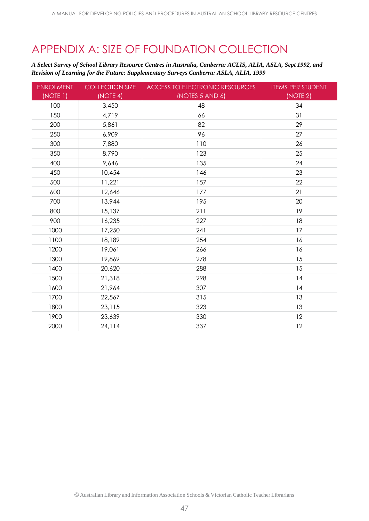# <span id="page-46-0"></span>APPENDIX A: SIZE OF FOUNDATION COLLECTION

*A Select Survey of School Library Resource Centres in Australia, Canberra: ACLIS, ALIA, ASLA, Sept 1992, and Revision of Learning for the Future: Supplementary Surveys Canberra: ASLA, ALIA, 1999*

| <b>ENROLMENT</b> | <b>COLLECTION SIZE</b> | <b>ACCESS TO ELECTRONIC RESOURCES</b> | <b>ITEMS PER STUDENT</b> |
|------------------|------------------------|---------------------------------------|--------------------------|
| (NOTE 1)         | (NOTE 4)               | (NOTES 5 AND 6)                       | (NOTE 2)                 |
| 100              | 3,450                  | 48                                    | 34                       |
| 150              | 4,719                  | 66                                    | 31                       |
| 200              | 5,861                  | 82                                    | 29                       |
| 250              | 6,909                  | 96                                    | 27                       |
| 300              | 7,880                  | 110                                   | 26                       |
| 350              | 8,790                  | 123                                   | 25                       |
| 400              | 9,646                  | 135                                   | 24                       |
| 450              | 10,454                 | 146                                   | 23                       |
| 500              | 11,221                 | 157                                   | 22                       |
| 600              | 12,646                 | 177                                   | 21                       |
| 700              | 13,944                 | 195                                   | 20                       |
| 800              | 15,137                 | 211                                   | 19                       |
| 900              | 16,235                 | 227                                   | 18                       |
| 1000             | 17,250                 | 241                                   | 17                       |
| 1100             | 18,189                 | 254                                   | 16                       |
| 1200             | 19,061                 | 266                                   | 16                       |
| 1300             | 19,869                 | 278                                   | 15                       |
| 1400             | 20,620                 | 288                                   | 15                       |
| 1500             | 21,318                 | 298                                   | 14                       |
| 1600             | 21,964                 | 307                                   | 14                       |
| 1700             | 22,567                 | 315                                   | 13                       |
| 1800             | 23,115                 | 323                                   | 13                       |
| 1900             | 23,639                 | 330                                   | 12                       |
| 2000             | 24,114                 | 337                                   | 12                       |

© Australian Library and Information Association Schools & Victorian Catholic Teacher Librarians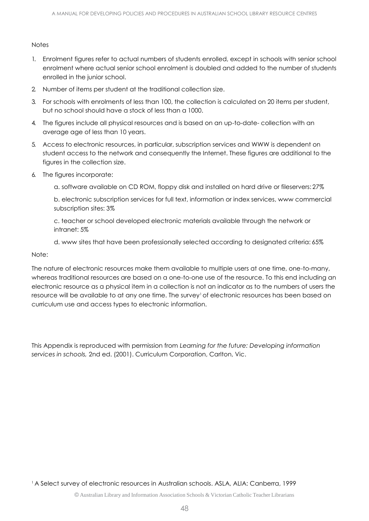# **Notes**

- 1. Enrolment figures refer to actual numbers of students enrolled, except in schools with senior school enrolment where actual senior school enrolment is doubled and added to the number of students enrolled in the junior school.
- 2. Number of items per student at the traditional collection size.
- 3. For schools with enrolments of less than 100, the collection is calculated on 20 items per student, but no school should have a stock of less than a 1000.
- 4. The figures include all physical resources and is based on an up-to-date- collection with an average age of less than 10 years.
- 5. Access to electronic resources, in particular, subscription services and WWW is dependent on student access to the network and consequently the Internet. These figures are additional to the figures in the collection size.
- 6. The figures incorporate:
	- a. software available on CD ROM, floppy disk and installed on hard drive or fileservers: 27%

b. electronic subscription services for full text, information or index services, www commercial subscription sites: 3%

c. teacher or school developed electronic materials available through the network or intranet: 5%

d. www sites that have been professionally selected according to designated criteria: 65%

Note:

The nature of electronic resources make them available to multiple users at one time, one-to-many, whereas traditional resources are based on a one-to-one use of the resource. To this end including an electronic resource as a physical item in a collection is not an indicator as to the numbers of users the resource will be available to at any one time. The survey' of electronic resources has been based on curriculum use and access types to electronic information.

This Appendix is reproduced with permission from *Learning for the future: Developing information services in schools,* 2nd ed. (2001). Curriculum Corporation, Carlton, Vic.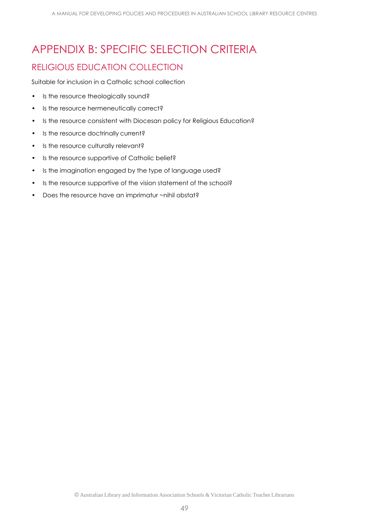# <span id="page-48-0"></span>APPENDIX B: SPECIFIC SELECTION CRITERIA RELIGIOUS EDUCATION COLLECTION

Suitable for inclusion in a Catholic school collection

- Is the resource theologically sound?
- Is the resource hermeneutically correct?
- Is the resource consistent with Diocesan policy for Religious Education?
- Is the resource doctrinally current?
- Is the resource culturally relevant?
- Is the resource supportive of Catholic belief?
- Is the imagination engaged by the type of language used?
- Is the resource supportive of the vision statement of the school?
- Does the resource have an imprimatur ~nihil obstat?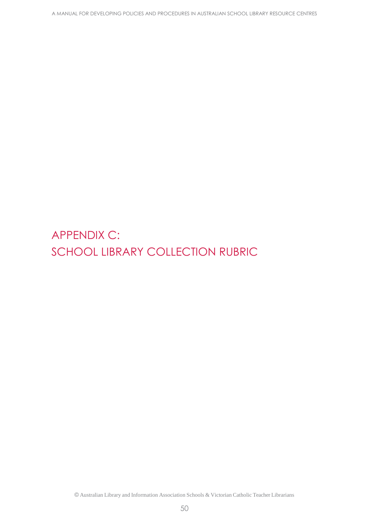<span id="page-49-0"></span>APPENDIX C: SCHOOL LIBRARY COLLECTION RUBRIC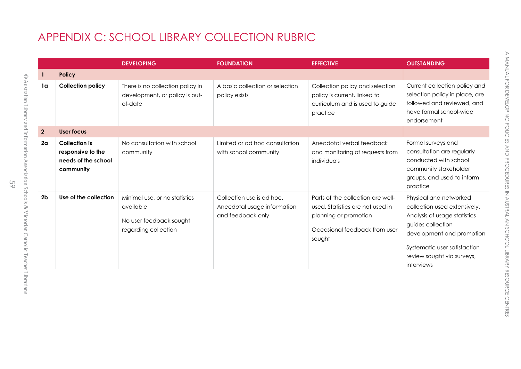# APPENDIX C: SCHOOL LIBRARY COLLECTION RUBRIC

<span id="page-50-0"></span>

|                |                                                                               | <b>DEVELOPING</b>                                                                             | <b>FOUNDATION</b>                                                             | <b>EFFECTIVE</b>                                                                                                                          | <b>OUTSTANDING</b>                                                                                                                                                                                                   |
|----------------|-------------------------------------------------------------------------------|-----------------------------------------------------------------------------------------------|-------------------------------------------------------------------------------|-------------------------------------------------------------------------------------------------------------------------------------------|----------------------------------------------------------------------------------------------------------------------------------------------------------------------------------------------------------------------|
| 1              | <b>Policy</b>                                                                 |                                                                                               |                                                                               |                                                                                                                                           |                                                                                                                                                                                                                      |
| 1 <sub>a</sub> | <b>Collection policy</b>                                                      | There is no collection policy in<br>development, or policy is out-<br>of-date                 | A basic collection or selection<br>policy exists                              | Collection policy and selection<br>policy is current, linked to<br>curriculum and is used to guide<br>practice                            | Current collection policy and<br>selection policy in place, are<br>followed and reviewed, and<br>have formal school-wide<br>endorsement                                                                              |
| $\overline{2}$ | <b>User focus</b>                                                             |                                                                                               |                                                                               |                                                                                                                                           |                                                                                                                                                                                                                      |
| 2 <sub>a</sub> | <b>Collection is</b><br>responsive to the<br>needs of the school<br>community | No consultation with school<br>community                                                      | Limited or ad hoc consultation<br>with school community                       | Anecdotal verbal feedback<br>and monitoring of requests from<br>individuals                                                               | Formal surveys and<br>consultation are regularly<br>conducted with school<br>community stakeholder<br>groups, and used to inform<br>practice                                                                         |
| 2 <sub>b</sub> | Use of the collection                                                         | Minimal use, or no statistics<br>available<br>No user feedback sought<br>regarding collection | Collection use is ad hoc.<br>Anecdotal usage information<br>and feedback only | Parts of the collection are well-<br>used. Statistics are not used in<br>planning or promotion<br>Occasional feedback from user<br>sought | Physical and networked<br>collection used extensively.<br>Analysis of usage statistics<br>guides collection<br>development and promotion<br>Systematic user satisfaction<br>review sought via surveys,<br>interviews |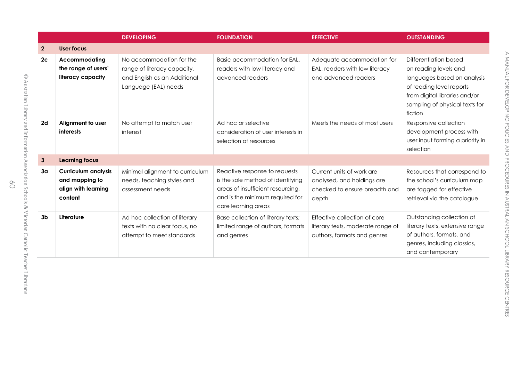|                |                                                                                | <b>DEVELOPING</b>                                                                                               | <b>FOUNDATION</b>                                                                                                                                                 | <b>EFFECTIVE</b>                                                                                  | <b>OUTSTANDING</b>                                                                                                                                                                      |
|----------------|--------------------------------------------------------------------------------|-----------------------------------------------------------------------------------------------------------------|-------------------------------------------------------------------------------------------------------------------------------------------------------------------|---------------------------------------------------------------------------------------------------|-----------------------------------------------------------------------------------------------------------------------------------------------------------------------------------------|
| $\mathbf{2}$   | User focus                                                                     |                                                                                                                 |                                                                                                                                                                   |                                                                                                   |                                                                                                                                                                                         |
| 2 <sub>c</sub> | Accommodating<br>the range of users'<br>literacy capacity                      | No accommodation for the<br>range of literacy capacity,<br>and English as an Additional<br>Language (EAL) needs | Basic accommodation for EAL,<br>readers with low literacy and<br>advanced readers                                                                                 | Adequate accommodation for<br>EAL, readers with low literacy<br>and advanced readers              | Differentiation based<br>on reading levels and<br>languages based on analysis<br>of reading level reports<br>from digital libraries and/or<br>sampling of physical texts for<br>fiction |
| 2d             | Alignment to user<br>interests                                                 | No attempt to match user<br>interest                                                                            | Ad hoc or selective<br>consideration of user interests in<br>selection of resources                                                                               | Meets the needs of most users                                                                     | Responsive collection<br>development process with<br>user input forming a priority in<br>selection                                                                                      |
| $\mathbf{3}$   | <b>Learning focus</b>                                                          |                                                                                                                 |                                                                                                                                                                   |                                                                                                   |                                                                                                                                                                                         |
| 3 <sub>a</sub> | <b>Curriculum analysis</b><br>and mapping to<br>align with learning<br>content | Minimal alignment to curriculum<br>needs, teaching styles and<br>assessment needs                               | Reactive response to requests<br>is the sole method of identifying<br>areas of insufficient resourcing,<br>and is the minimum required for<br>core learning areas | Current units of work are<br>analysed, and holdings are<br>checked to ensure breadth and<br>depth | Resources that correspond to<br>the school's curriculum map<br>are tagged for effective<br>retrieval via the catalogue                                                                  |
| 3 <sub>b</sub> | Literature                                                                     | Ad hoc collection of literary<br>texts with no clear focus, no<br>attempt to meet standards                     | Base collection of literary texts;<br>limited range of authors, formats<br>and genres                                                                             | Effective collection of core<br>literary texts, moderate range of<br>authors, formats and genres  | Outstanding collection of<br>literary texts, extensive range<br>of authors, formats, and<br>genres, including classics,<br>and contemporary                                             |

©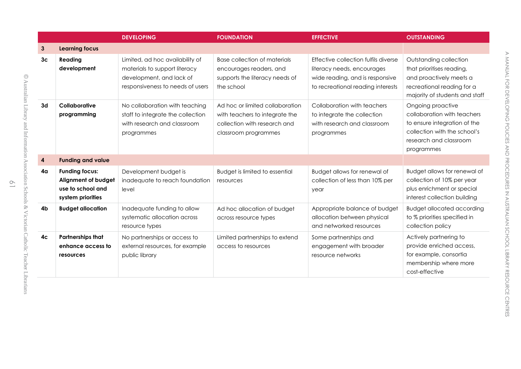|                |                                                                                        | <b>DEVELOPING</b>                                                                                                                | <b>FOUNDATION</b>                                                                                                         | <b>EFFECTIVE</b>                                                                                                                           | <b>OUTSTANDING</b>                                                                                                                                       |
|----------------|----------------------------------------------------------------------------------------|----------------------------------------------------------------------------------------------------------------------------------|---------------------------------------------------------------------------------------------------------------------------|--------------------------------------------------------------------------------------------------------------------------------------------|----------------------------------------------------------------------------------------------------------------------------------------------------------|
| 3              | <b>Learning focus</b>                                                                  |                                                                                                                                  |                                                                                                                           |                                                                                                                                            |                                                                                                                                                          |
| 3 <sub>c</sub> | Reading<br>development                                                                 | Limited, ad hoc availability of<br>materials to support literacy<br>development, and lack of<br>responsiveness to needs of users | <b>Base collection of materials</b><br>encourages readers, and<br>supports the literacy needs of<br>the school            | Effective collection fulfils diverse<br>literacy needs, encourages<br>wide reading, and is responsive<br>to recreational reading interests | Outstanding collection<br>that prioritises reading,<br>and proactively meets a<br>recreational reading for a<br>majority of students and staff           |
| 3d             | Collaborative<br>programming                                                           | No collaboration with teaching<br>staff to integrate the collection<br>with research and classroom<br>programmes                 | Ad hoc or limited collaboration<br>with teachers to integrate the<br>collection with research and<br>classroom programmes | Collaboration with teachers<br>to integrate the collection<br>with research and classroom<br>programmes                                    | Ongoing proactive<br>collaboration with teachers<br>to ensure integration of the<br>collection with the school's<br>research and classroom<br>programmes |
| 4              | <b>Funding and value</b>                                                               |                                                                                                                                  |                                                                                                                           |                                                                                                                                            |                                                                                                                                                          |
| 4 <sub>q</sub> | <b>Funding focus:</b><br>Alignment of budget<br>use to school and<br>system priorities | Development budget is<br>inadequate to reach foundation<br>level                                                                 | Budget is limited to essential<br>resources                                                                               | Budget allows for renewal of<br>collection of less than 10% per<br>year                                                                    | Budget allows for renewal of<br>collection of 10% per year<br>plus enrichment or special<br>interest collection building                                 |
| 4b             | <b>Budget allocation</b>                                                               | Inadequate funding to allow<br>systematic allocation across<br>resource types                                                    | Ad hoc allocation of budget<br>across resource types                                                                      | Appropriate balance of budget<br>allocation between physical<br>and networked resources                                                    | <b>Budget allocated according</b><br>to % priorities specified in<br>collection policy                                                                   |
| 4 <sub>c</sub> | <b>Partnerships that</b><br>enhance access to<br><b>resources</b>                      | No partnerships or access to<br>external resources, for example<br>public library                                                | Limited partnerships to extend<br>access to resources                                                                     | Some partnerships and<br>engagement with broader<br>resource networks                                                                      | Actively partnering to<br>provide enriched access,<br>for example, consortia<br>membership where more<br>cost-effective                                  |

 $\circ$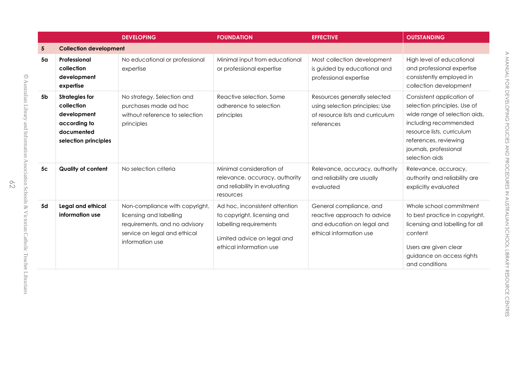|                |                                                                                                          | <b>DEVELOPING</b>                                                                                                                             | <b>FOUNDATION</b>                                                                                                                                 | <b>EFFECTIVE</b>                                                                                                  | <b>OUTSTANDING</b>                                                                                                                                                                                                     |
|----------------|----------------------------------------------------------------------------------------------------------|-----------------------------------------------------------------------------------------------------------------------------------------------|---------------------------------------------------------------------------------------------------------------------------------------------------|-------------------------------------------------------------------------------------------------------------------|------------------------------------------------------------------------------------------------------------------------------------------------------------------------------------------------------------------------|
| 5              | <b>Collection development</b>                                                                            |                                                                                                                                               |                                                                                                                                                   |                                                                                                                   |                                                                                                                                                                                                                        |
| 5 <sub>a</sub> | Professional<br>collection<br>development<br>expertise                                                   | No educational or professional<br>expertise                                                                                                   | Minimal input from educational<br>or professional expertise                                                                                       | Most collection development<br>is guided by educational and<br>professional expertise                             | High level of educational<br>and professional expertise<br>consistently employed in<br>collection development                                                                                                          |
| 5 <sub>b</sub> | <b>Strategies for</b><br>collection<br>development<br>according to<br>documented<br>selection principles | No strategy. Selection and<br>purchases made ad hoc<br>without reference to selection<br>principles                                           | Reactive selection. Some<br>adherence to selection<br>principles                                                                                  | Resources generally selected<br>using selection principles; Use<br>of resource lists and curriculum<br>references | Consistent application of<br>selection principles. Use of<br>wide range of selection aids,<br>including recommended<br>resource lists, curriculum<br>references, reviewing<br>journals, professional<br>selection aids |
| 5 <sub>c</sub> | <b>Quality of content</b>                                                                                | No selection criteria                                                                                                                         | Minimal consideration of<br>relevance, accuracy, authority<br>and reliability in evaluating<br>resources                                          | Relevance, accuracy, authority<br>and reliability are usually<br>evaluated                                        | Relevance, accuracy,<br>authority and reliability are<br>explicitly evaluated                                                                                                                                          |
| 5d             | Legal and ethical<br>information use                                                                     | Non-compliance with copyright,<br>licensing and labelling<br>requirements, and no advisory<br>service on legal and ethical<br>information use | Ad hoc, inconsistent attention<br>to copyright, licensing and<br>labelling requirements<br>Limited advice on legal and<br>ethical information use | General compliance, and<br>reactive approach to advice<br>and education on legal and<br>ethical information use   | Whole school commitment<br>to best practice in copyright,<br>licensing and labelling for all<br>content<br>Users are given clear<br>guidance on access rights<br>and conditions                                        |

©

62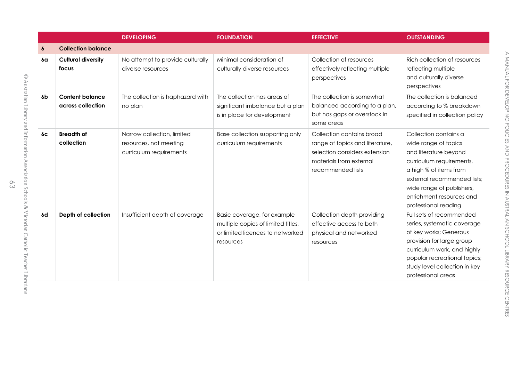|                |                                             | <b>DEVELOPING</b>                                                               | <b>FOUNDATION</b>                                                                                                  | <b>EFFECTIVE</b>                                                                                                                              | <b>OUTSTANDING</b>                                                                                                                                                                                                                           |
|----------------|---------------------------------------------|---------------------------------------------------------------------------------|--------------------------------------------------------------------------------------------------------------------|-----------------------------------------------------------------------------------------------------------------------------------------------|----------------------------------------------------------------------------------------------------------------------------------------------------------------------------------------------------------------------------------------------|
| 6              | <b>Collection balance</b>                   |                                                                                 |                                                                                                                    |                                                                                                                                               |                                                                                                                                                                                                                                              |
| 6a             | <b>Cultural diversity</b><br>focus          | No attempt to provide culturally<br>diverse resources                           | Minimal consideration of<br>culturally diverse resources                                                           | Collection of resources<br>effectively reflecting multiple<br>perspectives                                                                    | Rich collection of resources<br>reflecting multiple<br>and culturally diverse<br>perspectives                                                                                                                                                |
| 6 <sub>b</sub> | <b>Content balance</b><br>across collection | The collection is haphazard with<br>no plan                                     | The collection has areas of<br>significant imbalance but a plan<br>is in place for development                     | The collection is somewhat<br>balanced according to a plan,<br>but has gaps or overstock in<br>some areas                                     | The collection is balanced<br>according to % breakdown<br>specified in collection policy                                                                                                                                                     |
| 6c             | <b>Breadth of</b><br>collection             | Narrow collection, limited<br>resources, not meeting<br>curriculum requirements | Base collection supporting only<br>curriculum requirements                                                         | Collection contains broad<br>range of topics and literature,<br>selection considers extension<br>materials from external<br>recommended lists | Collection contains a<br>wide range of topics<br>and literature beyond<br>curriculum requirements,<br>a high % of items from<br>external recommended lists;<br>wide range of publishers,<br>enrichment resources and<br>professional reading |
| 6d             | Depth of collection                         | Insufficient depth of coverage                                                  | Basic coverage, for example<br>multiple copies of limited titles,<br>or limited licences to networked<br>resources | Collection depth providing<br>effective access to both<br>physical and networked<br>resources                                                 | Full sets of recommended<br>series, systematic coverage<br>of key works; Generous<br>provision for large group<br>curriculum work, and highly<br>popular recreational topics;<br>study level collection in key<br>professional areas         |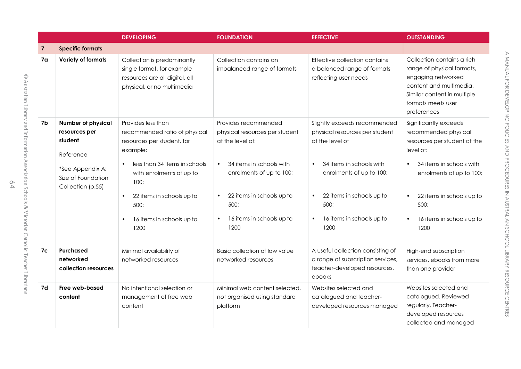|                |                                                                                                                                   | <b>DEVELOPING</b>                                                                                                                                                                                                                                                                   | <b>FOUNDATION</b>                                                                                                                                                                                                                                   | <b>EFFECTIVE</b>                                                                                                                                                                                                                                           | <b>OUTSTANDING</b>                                                                                                                                                                                                           |
|----------------|-----------------------------------------------------------------------------------------------------------------------------------|-------------------------------------------------------------------------------------------------------------------------------------------------------------------------------------------------------------------------------------------------------------------------------------|-----------------------------------------------------------------------------------------------------------------------------------------------------------------------------------------------------------------------------------------------------|------------------------------------------------------------------------------------------------------------------------------------------------------------------------------------------------------------------------------------------------------------|------------------------------------------------------------------------------------------------------------------------------------------------------------------------------------------------------------------------------|
| $\overline{7}$ | <b>Specific formats</b>                                                                                                           |                                                                                                                                                                                                                                                                                     |                                                                                                                                                                                                                                                     |                                                                                                                                                                                                                                                            |                                                                                                                                                                                                                              |
| 7 <sub>a</sub> | Variety of formats                                                                                                                | Collection is predominantly<br>single format, for example<br>resources are all digital, all<br>physical, or no multimedia                                                                                                                                                           | Collection contains an<br>imbalanced range of formats                                                                                                                                                                                               | Effective collection contains<br>a balanced range of formats<br>reflecting user needs                                                                                                                                                                      | Collection contains a rich<br>range of physical formats,<br>engaging networked<br>content and multimedia.<br>Similar content in multiple<br>formats meets user<br>preferences                                                |
| 7b             | <b>Number of physical</b><br>resources per<br>student<br>Reference<br>*See Appendix A:<br>Size of Foundation<br>Collection (p.55) | Provides less than<br>recommended ratio of physical<br>resources per student, for<br>example:<br>less than 34 items in schools<br>$\bullet$<br>with enrolments of up to<br>100;<br>22 items in schools up to<br>$\bullet$<br>500;<br>16 items in schools up to<br>$\bullet$<br>1200 | Provides recommended<br>physical resources per student<br>at the level of:<br>34 items in schools with<br>$\bullet$<br>enrolments of up to 100;<br>22 items in schools up to<br>$\bullet$<br>500;<br>16 items in schools up to<br>$\bullet$<br>1200 | Slightly exceeds recommended<br>physical resources per student<br>at the level of<br>34 items in schools with<br>$\bullet$<br>enrolments of up to 100;<br>22 items in schools up to<br>$\bullet$<br>500;<br>16 items in schools up to<br>$\bullet$<br>1200 | Significantly exceeds<br>recommended physical<br>resources per student at the<br>level of:<br>34 items in schools with<br>enrolments of up to 100;<br>22 items in schools up to<br>500;<br>16 items in schools up to<br>1200 |
| 7c             | Purchased<br>networked<br>collection resources                                                                                    | Minimal availability of<br>networked resources                                                                                                                                                                                                                                      | Basic collection of low value<br>networked resources                                                                                                                                                                                                | A useful collection consisting of<br>a range of subscription services,<br>teacher-developed resources,<br>ebooks                                                                                                                                           | High-end subscription<br>services, ebooks from more<br>than one provider                                                                                                                                                     |
| 7d             | Free web-based<br>content                                                                                                         | No intentional selection or<br>management of free web<br>content                                                                                                                                                                                                                    | Minimal web content selected,<br>not organised using standard<br>platform                                                                                                                                                                           | Websites selected and<br>catalogued and teacher-<br>developed resources managed                                                                                                                                                                            | Websites selected and<br>catalogued. Reviewed<br>regularly. Teacher-<br>developed resources<br>collected and managed                                                                                                         |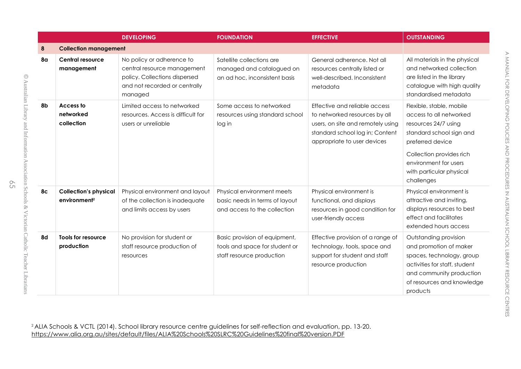|                |                                                          | <b>DEVELOPING</b>                                                                                                                     | <b>FOUNDATION</b>                                                                            | <b>EFFECTIVE</b>                                                                                                                                                      | <b>OUTSTANDING</b>                                                                                                                                                                                                         |  |
|----------------|----------------------------------------------------------|---------------------------------------------------------------------------------------------------------------------------------------|----------------------------------------------------------------------------------------------|-----------------------------------------------------------------------------------------------------------------------------------------------------------------------|----------------------------------------------------------------------------------------------------------------------------------------------------------------------------------------------------------------------------|--|
| 8              | <b>Collection management</b>                             |                                                                                                                                       |                                                                                              |                                                                                                                                                                       |                                                                                                                                                                                                                            |  |
| 8α             | Central resource<br>management                           | No policy or adherence to<br>central resource management<br>policy. Collections dispersed<br>and not recorded or centrally<br>managed | Satellite collections are<br>managed and catalogued on<br>an ad hoc, inconsistent basis      | General adherence, Not all<br>resources centrally listed or<br>well-described. Inconsistent<br>metadata                                                               | All materials in the physical<br>and networked collection<br>are listed in the library<br>catalogue with high quality<br>standardised metadata                                                                             |  |
| 8b             | Access to<br>networked<br>collection                     | Limited access to networked<br>resources. Access is difficult for<br>users or unreliable                                              | Some access to networked<br>resources using standard school<br>log in                        | Effective and reliable access<br>to networked resources by all<br>users, on site and remotely using<br>standard school log in; Content<br>appropriate to user devices | Flexible, stable, mobile<br>access to all networked<br>resources 24/7 using<br>standard school sign and<br>preferred device<br>Collection provides rich<br>environment for users<br>with particular physical<br>challenges |  |
| 8 <sub>c</sub> | <b>Collection's physical</b><br>environment <sup>2</sup> | Physical environment and layout<br>of the collection is inadequate<br>and limits access by users                                      | Physical environment meets<br>basic needs in terms of layout<br>and access to the collection | Physical environment is<br>functional, and displays<br>resources in good condition for<br>user-friendly access                                                        | Physical environment is<br>attractive and inviting,<br>displays resources to best<br>effect and facilitates<br>extended hours access                                                                                       |  |
| 8d             | Tools for resource<br>production                         | No provision for student or<br>staff resource production of<br>resources                                                              | Basic provision of equipment,<br>tools and space for student or<br>staff resource production | Effective provision of a range of<br>technology, tools, space and<br>support for student and staff<br>resource production                                             | Outstanding provision<br>and promotion of maker<br>spaces, technology, group<br>activities for staff, student<br>and community production<br>of resources and knowledge<br>products                                        |  |

©

Australian

Library

and

Information

Association

Schools &

Victorian

Catholic

Teacher

Librarians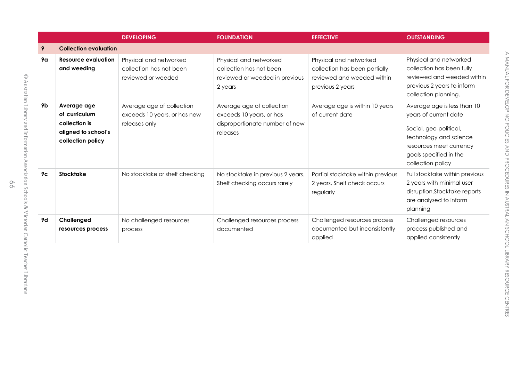|                |                                                                                           | <b>DEVELOPING</b>                                                          | <b>FOUNDATION</b>                                                                                   | <b>EFFECTIVE</b>                                                                                          | <b>OUTSTANDING</b>                                                                                                                                                                 |
|----------------|-------------------------------------------------------------------------------------------|----------------------------------------------------------------------------|-----------------------------------------------------------------------------------------------------|-----------------------------------------------------------------------------------------------------------|------------------------------------------------------------------------------------------------------------------------------------------------------------------------------------|
| 9              | <b>Collection evaluation</b>                                                              |                                                                            |                                                                                                     |                                                                                                           |                                                                                                                                                                                    |
| 9α             | <b>Resource evaluation</b><br>and weeding                                                 | Physical and networked<br>collection has not been<br>reviewed or weeded    | Physical and networked<br>collection has not been<br>reviewed or weeded in previous<br>2 years      | Physical and networked<br>collection has been partially<br>reviewed and weeded within<br>previous 2 years | Physical and networked<br>collection has been fully<br>reviewed and weeded within<br>previous 2 years to inform<br>collection planning.                                            |
| 9b             | Average age<br>of curriculum<br>collection is<br>aligned to school's<br>collection policy | Average age of collection<br>exceeds 10 years, or has new<br>releases only | Average age of collection<br>exceeds 10 years, or has<br>disproportionate number of new<br>releases | Average age is within 10 years<br>of current date                                                         | Average age is less than 10<br>years of current date<br>Social, geo-political,<br>technology and science<br>resources meet currency<br>goals specified in the<br>collection policy |
| 9 <sub>c</sub> | <b>Stocktake</b>                                                                          | No stocktake or shelf checking                                             | No stocktake in previous 2 years.<br>Shelf checking occurs rarely                                   | Partial stocktake within previous<br>2 years. Shelf check occurs<br>regularly                             | Full stocktake within previous<br>2 years with minimal user<br>disruption.Stocktake reports<br>are analysed to inform<br>planning                                                  |
| 9d             | Challenged<br>resources process                                                           | No challenged resources<br>process                                         | Challenged resources process<br>documented                                                          | Challenged resources process<br>documented but inconsistently<br>applied                                  | Challenged resources<br>process published and<br>applied consistently                                                                                                              |

©